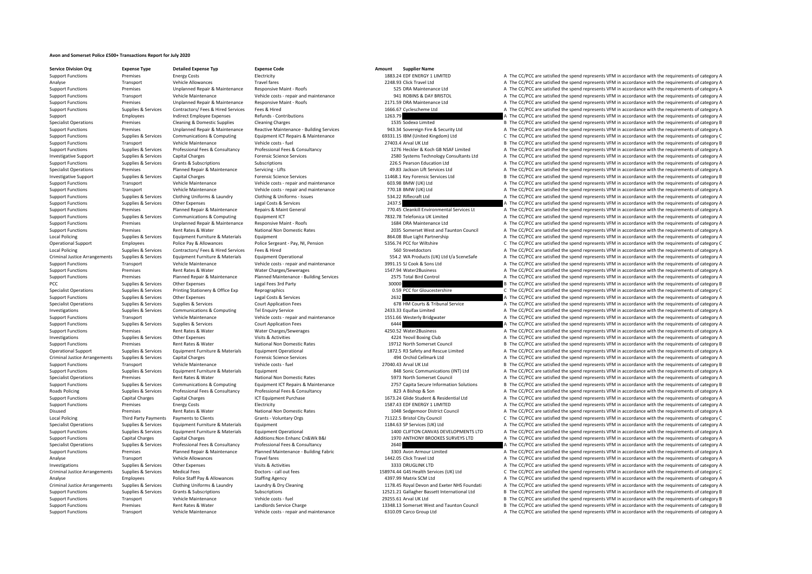## **Avon and Somerset Police £500+ Transactions Report for July 2020**

**Service Division Org**<br> **Support Expense Type**<br> **Support Expense Code**<br> **Electricity Expense Code**<br> **Electricity Experse Code**<br> **Electricity Experse Code**<br> **Electricity Code** 

Support Functions Premises Premises Energy Costs Electricity Electricity Electricity Electricity ISBN 2083.24 EDF ENERGY 1 LIMITED A The CC/PCC are satisfied the spend represents VFM in accordance with the requirements of Analyse Transport Vehicle Allowances Travel fares Travel fares 2248.93 Click Travel Ltd A The CC/PCC are satisfied the spend represents VFM in accordance with the requirements of category A Support Functions Premises Unplanned Repair & Maintenance Responsive Maint ‐ Roofs exponsive Maint ‐ Roofs and the COV Care attenance Ltd A The CC/PCC are satisfied the spend represents VFM in accordance with the requireme Support Functions Transport Vehicle Maintenance Vehicle costs – repair and maintenance 941 ROBINS & DAY BRISTOL A The CC/PCC are satisfied the spend represents VFM in accordance with the requirements of category A Theory a Support Functions Premises Unplanned Repair & Maintenance Responsive Maint · Roofs 2171.59 DRA Maintenance Ltd A The CC/PCC are satisfied the spend represents VFM in accordance with the requirements of category A Support Functions Supplies & Services Contractors/ Fees & Hired Services Fees & Hired 1666.67 Cyclescheme Ltd A The CC/PCC are satisfied the spend represents VFM in accordance with the requirements of category A Support Employees Support Employee Expenses Refunds Contributions and the COST Manual Contributions and the CONTEN<br>Specialist Operations Support Permises Cleaning & Domestic Supplies Cleaning Chaning Channel Contributions Specialist Operations Premises Cleaning & Domestic Supplies Cleaning Charges Cleaning Charges Cleaning Charges 1535 Sodexo Limited B The CC/PCC are satisfied the spend represents VFM in accordance with the requirements of Sunnort Eunctions Premises Unplanned Repair & Maintenance Reactive Maintenance - Ruilding Services 94334 Sovereign Fire & Security Itd A The CC/PCC are satisfied the spend represents VFM in accordance with the requirements Support Functions Supplies & Services Communications & Computing Equipment ICT Repairs & Maintenance 69331.15 IBM (United Kingdom) Ltd C The CC/PCC are satisfied the spend represents VFM in accordance with the requirements Support Functions Transport Vehicle Maintenance Vehicle costs - fuel Vehicle costs - fuel Vehicle costs - fuel Vehicle costs - fuel 27403.4 Arval UK Ltd B NSAF Limited B The CC/PCC are satisfied the spend represents VFM in Support Functions Supplies & Services Professional Fees & Consultancy Professional Fees & Consultancy Professional Fees & Consultancy Professional Fees & Consultancy Professional Fees & Consultancy May a state and the May Investigative Support Supplies & Services Capital Charges Forensic Science Services Forensic Science Services Forensic Science Services and Dave and Dave and Dave and Dave and A The CC/PCC are satisfied the spend represent Support Functions Supplies & Services Grants & Subscriptions Subscriptions Subscriptions Subscriptions 226.5 Pearson Education Ltd A The CC/PCC are satisfied the spend represents VFM in accordance with the requirements of Specialist Operations Premises Planned Repair & Maintenance Servicing – Lifts 49.83 Jackson Lift Services Ltd A The CC/PCC are satisfied the spend represents VFM in accordance with the requirements of category A The Critic Investigative Support Support Support Support Capital Charges Capital Charges Forensic Science Services 11468.1 Key Forensic Services Ltd B The CC/PCC are satisfied the spend represents VFM in accordance with the requireme Support Functions Transport Vehicle Maintenance Vehicle costs ‐ repair and maintenance 603.98 BMW (UK) Ltd A The CC/PCC are satisfied the spend represents VFM in accordance with the requirements of category A The Criteria Support Vehicle Maintenance Vehicle costs ‐ repair and maintenance 770.18 BMW (UK) Ltd A The CC/PCC are satisfied the spend represents VFM in accordance with the requirements of category A The Cristopher Support of categor Support Functions Supplies & Services Clothing Uniforms & Laundry Clothing & Uniforms - Issues 534.22 Riflecraft Ltd A The CC/PCC are satisfied the spend represents VFM in accordance with the requirements of category A Support Functions Supplies & Services Other Expenses Legal Costs & Services 2437.5 A The CC/PCC are satisfied the spend represents VFM in accordance with the requirements of category A Support Functions Premises Planned Repair & Maintenance Repairs & Maint General 770.45 Cleankill Environmental Services Lt A The CC/PCC are satisfied the spend represents VFM in accordance with the requirements of category A The CC/PCC are satisfied the spend represents VFM in accordance with the requirements of category A Support Functions Premises Unplanned Repair & Maintenance Responsive Maint Poofs 1684 DRA Maintenance Ltd A The CC/PCC are satisfied the spend represents VFM in accordance with the requirements of category A Support Functions Premises Rent Rates & Water National Non Domestic Rates 2035 Somerset West and Taunton Council A The CC/PCC are satisfied the spend represents VFM in accordance with the requirements of category A Local Policing Supplies & Services Equipment Furniture & Materials Equipment Equipment Equipment Equipment Equipment Equipment A The CC/PCC are satisfied the spend represents VFM in accordance with the requirements of cate C The CC/PCC are satisfied the spend represents VFM in accordance with the requirements of category C Local Policing Supplies & Services Contractors/ Fees & Hired Services Fees & Hired Services Fees & Hired 560 Streetdoctors A The CC/PCC are satisfied the spend represents VFM in accordance with the requirements of category Criminal Justice Arrangements Supplies & Services Equipment Furniture & Materials Equipment Operational Equipment Operational State of the CSA2 WA Products (UK) Ltd t/a SceneSafe A The CC/PCC are satisfied the spend repres Support Functions Transport Vehicle Maintenance Vehicle costs ‐ repair and maintenance 3991.15 SJ Cook & Sons Ltd A The CC/PCC are satisfied the spend represents VFM in accordance with the requirements of category A The Cr Support Functions Premises Rent Rates & Water Water Charges/Sewerages 1547.94 Water2Business A The CC/PCC are satisfied the spend represents VFM in accordance with the requirements of category A Support Functions Premises Planned Repair & Maintenance Planned Maintenance - Building Services 2575 Total Bird Control A The CC/PCC are satisfied the spend represents VFM in accordance with the requirements of category A PCC Supplies A Services Other Expenses Legal Fees 3rd Party 30000 30000 B The CC/PCC are satisfied the spend represents VFM in accordance with the requirements of category B Specialist Operations Supplies & Services Printing Stationery & Office Exp Reprographics 0.59 PCC for Gloucestershire C The CC/PCC are satisfied the spend represents VFM in accordance with the requirements of category C Support Functions Supplies Services Other Expenses 2632 A The CC/PC are satisfied the spend represents VFM in accordance with the requirements of category A Specialist Operations Supplies & Services Supplies & Services Court Application Fees 678 HM Courts & Tribunal Service A The CC/PCC are satisfied the spend represents VFM in accordance with the requirements of category A Th Investigations Supplies & Services Communications & Computing Tel Enquiry Service 2433.33 Equifax Limited A The CC/PCC are satisfied the spend represents VFM in accordance with the requirements of category A Support Functions Transport Vehicle Maintenance Vehicle costs - repair and maintenance 1551.66 Westerly Bridgwater A The CC/PCC are satisfied the spend represents VFM in accordance with the requirements of category A Support Functions Supplies & Services Supplies & Services Supplies & Services Court Application Fees Court Application Fees 6444 A The CC/PCC are satisfied the spend represents VFM in accordance with the requirements of ca Examples Rent Rates & Water Mater Charges/Sewerages A 250.52 Water 2Business A The CC/PCC are satisfied the spend represents VFM in accordance with the requirements of category A The Criter Associates and the research of c Investigations Supplies & Services Other Expenses Visits & Activities Visits Activities 4224 Yeovil Boxing Club A The CC/PCC are satisfied the spend represents VFM in accordance with the requirements of category A Support Functions Premises Rent Rates & Water National Non Domestic Rates 19712 North Somerset Council B The CC/PCC are satisfied the spend represents VFM in accordance with the requirements of category B Operational Support Supplies & Services Equipment Furniture & Materials Equipment Operational exclusional and the CONCORECARE DEVIDENCE ARE CONCORECARE ARE CONFORMEDIA A The CCC ARE SERVIT AND RESPONSITED A The CCCC are sa A The CC/PCC are satisfied the spend represents VFM in accordance with the requirements of category A Support Functions Transport Vehicle Maintenance Vehicle costs – fuel 27040.43 Arval UK Ltd B The CC/PCC are satisfied the spend represents VFM in accordance with the requirements of category B Support Functions Supplies & Services Equipment Furniture & Materials Equipment Equipment Equipment and the communications (INT) Ltd A The CC/PCC are satisfied the spend represents VFM in accordance with the requirements o Specialist Operations Specialist Operations Rent Rates Rent Rates National Non Domestic Rates 5973 North Somerset Council A The CC/PCC are satisfied the spend represents VFM in accordance with the requirements of category Support Functions Supplies & Services Communications & Computing Equipment ICT Repairs & Maintenance 2757 Capita Secure Information Solutions B The CC/PCC are satisfied the spend represents VFM in accordance with the requi Roads Policing Supplies & Services Professional Fees & Consultancy Professional Fees & Consultancy Roads and Son A The CC/PCC are satisfied the spend represents VFM in accordance with the requirements of category A Support Functions Capital Charges Capital Charges 1678 1673.24 Glide Student & Residential Ltd A The CC/PCC are satisfied the spend represents VFM in accordance with the requirements of category A The Criteria Ltd A The CC Support Functions Premises Energy Costs Electricity Functions Electricity 1587.43 EDE ENERGY 1 LIMITED A The CC/PCC are satisfied the spend represents VFM in accordance with the requirements of category A Disused Premises Rent Rates & Water National Non Domestic Rates 1048 Sedgemoor District Council A The CC/PCC are satisfied the spend represents VFM in accordance with the requirements of category A Local Policing Third Party Payments Payments of Clients Grants - Voluntary Orgs Grants - Voluntary Orgs 71122.5 Bristol City Council City Council C The CC/PCC are satisfied the spend represents VFM in accordance with the r Specialist Operations Supplies & Services Equipment Furniture & Materials Equipment Equipment Equipment 1184.63 SP Services (UK) Ltd A The CC/PCC are satisfied the spend represents VFM in accordance with the requirements o Sunnort Eugenitions Sunning & Services Environment Europeant Curricule & Materials Environment Operational 1100 CUFTON CANUAS DEVELOPMENTS LTD A The CC/DCC are estistied the spend represents VEM in accordance with the requ Support Functions Capital Charges Capital Charges Additions:Non Enhanc Cn&Wk B&I 1970 ANTHONY BROOKES SURVEYS LTD A The CC/PCC are satisfied the spend represents VFM in accordance with the requirements of category A Specialist Operations Supplies & Services Professional Fees & Consultancy Professional Fees & Consultancy Professional Fees & Consultancy Consultancy 2640 A The CC/PCC are satisfied the spend represents VFM in accordance w Support Functions Premises Planned Repair & Maintenance Planned Maintenance Building Fabric 3303 Avon Armour Limited A The CC/PCC are satisfied the spend represents VFM in accordance with the requirements of category A Analyse Transport Vehicle Allowances Travel fares Travel fares 1442.05 Click Travel Ltd A The CC/PCC are satisfied the spend represents VFM in accordance with the requirements of category A Investigations Supplies & Services Other Expenses Visits & Activities Visits & Activities 3333 DRUGLINK LTD A The CC/PCC are satisfied the spend represents VFM in accordance with the requirements of category A Criminal Justice Arrangements Supplies & Services Medical Fees **and Dustice Supplies Arrangements** Supplies & Services Medical Fees **Dustice Service Arrangements of category C** Dust of the CONS - call out fees **and the Ser** Analyse Employees Police Staff Pay & Allowances Staffing Agency 4397.99 Matrix SCM Ltd A The CC/PCC are satisfied the spend represents VFM in accordance with the requirements of category A Criminal Justice Arrangements Supplies & Services Clothing Uniforms & Laundry Laundry Laundry & Dry Cleaning Materation and External Materia Materia and the Support Publisher Basett International Ltd B The CC/PCC are satis B The CC/PCC are satisfied the spend represents VFM in accordance with the requirements of category B Support Functions Transport Vehicle Maintenance Vehicle costs – fuel 29255.61 Arval UK Ltd B The CC/PCC are satisfied the spend represents VFM in accordance with the requirements of category B Support Functions Premises Rent Rates & Water Landlords Service Charge 13348.13 Somerset West and Taunton Council B The CC/PCC are satisfied the spend represents VFM in accordance with the requirements of category B Support Functions Transport Vehicle Maintenance Vehicle costs - repair and maintenance Satisfied Costs and maintenance of the CC/PCC are satisfied the spend represents VFM in accordance with the requirements of category A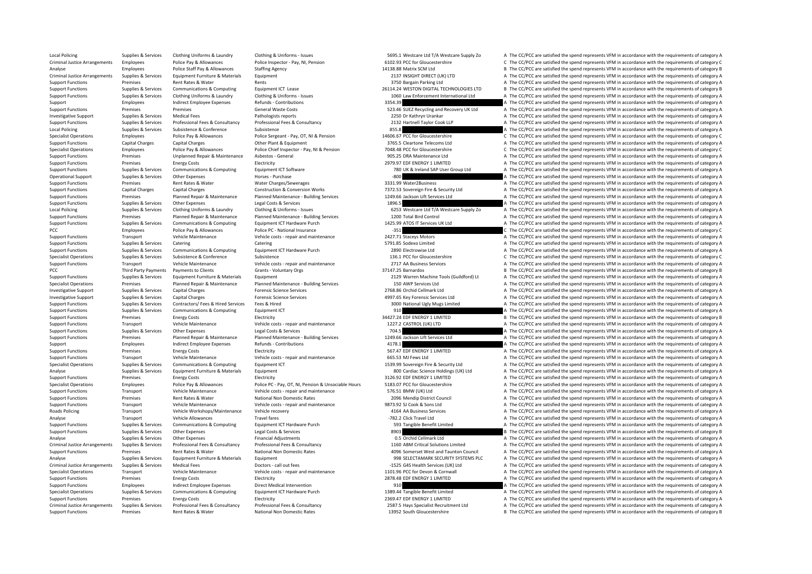Local Policing Supplies & Services Clothing Uniforms & Laundry Clothing & Uniforms - Issues Supplies are sensively and the COST.1 Westcare Ltd T/A Westcare Supply Zo A The CC/PCC are satisfied the spend represents VFM in a Criminal Justice Arrangements Employees Police Pay & Allowances Police Inspector - Pay, NI, Pension 6102.93 PCC for Gloucestershire C The CC/PCC are satisfied the spend represents VFM in accordance with the requirements of Analyse Employees Police Staff Pay & Allowances Staffing Agency 14138.88 Matrix SCM Ltd B The CC/PCC are satisfied the spend represents VFM in accordance with the requirements of category B The Criteria Agency 14138.88 Mat Criminal Arrangements Arrangements of category Arrangement Criminal Direct Arrangements Supplies Arrangements Supplies Arrangements Supplies Arrangements Of category A The CC/PCC are satisfied the spend represents VFM in a Support Functions and Departments of category and the Support Rents Rents Rents Rents Rents Rents A The CC/PCC are satisfied the spend represents VFM in accordance with the requirements of category A Support Functions Supplies & Services Communications & Computing Equipment ICT Lease 26114.24 WESTON DIGITAL TECHNOLOGIES LTD B The CC/PCC are satisfied the spend represents VFM in accordance with the requirements of categ Supplies & Services Clothing Uniforms & Laundry Clothing & Uniforms - Issues 1060 Law Enforcement International Ltd A The CC/PCC are satisfied the spend represents VFM in accordance with the requirements of category A The Support Employees Indirect Employee Expenses Refunds - Contributions 3354.39 3454.39 A The CC/PCC are satisfied the spend represents VFM in accordance with the requirements of category A Support Functions Premises Premises Premises Seneral Waste Costs General Waste Costs 523.46 SUEZ Recycling and Recovery UK Ltd A The CC/PCC are satisfied the spend represents VFM in accordance with the requirements of cate Investigative Support Supplies & Services Medical Fees Pathologists reports 2250 Dr Kathryn Urankar A The CC/PCC are satisfied the spend represents VFM in accordance with the requirements of category A Support Functions Supplies & Services Professional Fees & Consultancy Professional Fees & Consultancy Professional Fees & Consultancy Professional Fees & Consultancy Professional Fees & Consultancy Material Taylor Cook LLP Local Policing Supplies Supplies Subsistence Subsistence Subsistence Subsistence Subsistence Subsistence Subsistence Subsistence Subsistence Subsistence Subsistence Subsistence Subsistence Subsistence Subsistence Subsisten Specialist Operations Employees Police Pay & Allowances Police Sergeant - Pay, OT. NI & Pension 14606.67 PCC for Gloucestershire C The CC/PCC are satisfied the spend represents VFM in accordance with the requirements of ca Support Functions Capital Charges Capital Charges Capital Charges Other Plant & Equipment 3765.5 Cleartone Telecoms Ltd A The CC/PCC are satisfied the spend represents VFM in accordance with the requirements of category A Specialist Operations Employees Police Pay & Allowances Police Chief Inspector - Pay, NI & Pension 7048.48 PCC for Gloucestershire C The CC/PCC are satisfied the spend represents VFM in accordance with the requirements of Support Functions Premises Unplanned Repair & Maintenance Asbestos ‐ General 905.25 DRA Maintenance Ltd A The CC/PCC are satisfied the spend represents VFM in accordance with the requirements of category A Support Functions Premises Energy Costs Electricity Electricity Electricity Electricity Electricity 2979.97 EDF ENERGY 1 LIMITED A The CC/PCC are satisfied the spend represents VFM in accordance with the requirements of ca Supplier & Services Communications & Computing Fouture Fouture Fouture CONSCRIPTION CONTENT TRIM THE CONTENT ON THE CONTENT A The COPCC are satisfied the spend represents VFM in accordance with the requirements of category Operational Support Supplies & Services Other Expenses – Horses - Purchase – Horses – Horses – Horses – Horses – Horses – Horses – Horses – Horses – Horses – Horses – Horses – Horses – Horses – Horses – Horses – Horses – H Support Functions Premises Rent Rates & Water Water Charges/Sewerages and a mater 2Business A The CC/PCC are satisfied the spend represents VFM in accordance with the requirements of category A The Criter Assemblines A The Support Functions Conversion Works Category A Transformation Charges Construction & Conversion Works 7372.53 Sovereign Fire & Security Ltd A The CC/PCC are satisfied the spend represents VFM in accordance with the requirem Support Functions Premises Planned Renair & Maintenance Planned Maintenance - Building Services 1249.66 Jackson Lift Services 1 149.66 Jackson Lift Services A The CC/PCC are satisfied the spend represents VFM in accordance Support Functions Supplies & Services Other Expenses Legal Costs & Services 1896.5 A The CC/PCC are satisfied the spend represents VFM in accordance with the requirements of category A Local Policing Supplies & Services Clothing Uniforms & Laundry Clothing & Uniforms - Issues Clothing Multioms - Issues Clothing Multioms - Esses and the COLO Total Bird Control of American Cervices and TA Uniforms - Supply A The CC/PCC are satisfied the spend represents VFM in accordance with the requirements of category A Sunnort Eungripor Sunnitate Sunnitations & Communications & Communications & Communications & Communications & Communications & Communications Forument ICT Hardware Purch 147599 ATOS IT Services IIK Itd 6 The CC/PCC are sa PCC Employees Police Pay & Allowances Police PC - National Insurance Pay 2012 - 351 C The CC/PCC are satisfied the spend represents VFM in accordance with the requirements of category C Support Functions Transport Vehicle Maintenance Vehicle costs - repair and maintenance 2427.71 Staceys Motors A The CC/PCC are satisfied the spend represents VFM in accordance with the requirements of category A The Critic Catering Tunctions Supplies Category Category Category A The CC/PCC are satisfied the spend represents VFM in accordance with the requirements of category A Support Functions Supplies & Services Communications & Computing Equipment ICT Hardware Purch 2890 Electrowise Ltd A The CC/PCC are satisfied the spend represents VFM in accordance with the requirements of category A Specialist Operations Supplies & Services Subsistence Subsistence Subsistence Subsistence Subsistence Subsistence Subsistence Subsistence Subsistence Subsistence Subsistence Subsistence Subsistence Subsistence Subsistence Support Functions Transport Vehicle Maintenance Vehicle costs – repair and maintenance 2717 AA Business Services A The CC/PCC are satisfied the spend represents VFM in accordance with the requirements of category B<br>PCC A T B The CC/PCC are satisfied the spend represents VFM in accordance with the requirements of category B Support Functions Supplies & Services Equipment Furniture & Materials Equipment Equipment Equipment Equipment Paterials Equipment 2129 Warren Machine Tools (Guildford) Lt A The CC/PCC are satisfied the spend represents VFM Specialist Operations Premises Planned Repair & Maintenance Planned Maintenance - Building Services 150 AWP Services 1td A The CC/PCC are satisfied the spend represents VFM in accordance with the requirements of category A Investigative Support Supplies & Services Capital Charges Forensic Science Services Forensic Science Services 2768.86 Orchid Cellmark Ltd A The CC/PCC are satisfied the spend represents VFM in accordance with the requireme Investigative Support Support Support Support Capital Charges Capital Charges A The Companies of category A The CC/PCC are satisfied the spend represents VFM in accordance with the requirements of category A The CC/PCC are Support Functions Supplies & Services Contractors/ Fees & Hired Services Fees & Hired Services Fees & Hired 3000 National Ugly Mugs Limited A The CC/PCC are satisfied the spend represents VFM in accordance with the require Support Functions Supplies & Services Communications & Computing Equipment ICT 910 910 A The CC/PCC are satisfied the spend represents VFM in accordance with the requirements of category A The Criteria and the reserves of Support Functions Premises Energy Costs Electricity Belancity Support Electricity 34427.24 EDF ENERGY 1 LIMITED B The CC/PCC are satisfied the spend represents VFM in accordance with the requirements of category B Vehicle Support Functions Transport Vehicle Maintenance Vehicle costs - repair and maintenance 1227.2 CASTROL (UK) LTD A The CC/PCC are satisfied the spend represents VFM in accordance with the requirements of category A The Costs Support Functions Supplies A The CC/PCC are satisfied the spend represents VFM in accordance with the requirements of category A The CC/PCC are satisfied the spend represents VFM in accordance with the requirements of cate Support Functions Premises Planned Renair & Maintenance Planned Maintenance - Building Services 1249.66 Jackson Lift Services 1 d The CC/PCC are satisfied the spend represents VFM in accordance with the requirements of cat Support Employees Indirect Employee Expenses Refunds - Contributions 4178.1 4178.1 A The CC/PCC are satisfied the spend represents VFM in accordance with the requirements of category A Support Functions Premises Energy Costs Electricity Electricity Electricity Electricity Electricity Support Energy Costs Electricity Electricity Support Electricity 567.47 EDF ENERGY 1 LIMITED A The CC/PCC are satisfied th Transport Vehicle Maintenance Vehicle costs ‐ repair and maintenance 665.53 MJ Fews Ltd A The CC/PCC are satisfied the spend represents VFM in accordance with the requirements of category A Specialist Operations Supplies & Services Communications & Computing Equipment ICT 1539.99 Sovereign Fire & Security Ltd A The CC/PCC are satisfied the spend represents VFM in accordance with the requirements of category A Analyse Supplies & Services Equipment Eurotive & Materials Equipment Europe Equipment and the Service Equipment and the Service of Category A The CC/PCC are satisfied the spend represents VFM in accordance with the require Premises Energy Costs Clear Electricity Costs Electricity 3126.92 EDE ENERGY 1 LIMITED A The CC/PC are satisfied the spend represents VFM in accordance with the requirements of category A Specialist Operations Employees Police Pay & Allowances Police PC - Pay, OT, Ni, Pension & Unsociable Hours 5183.07 PCC for Gloucestershire A The CC/PCC are satisfied the spend represents VFM in accordance with the require Support Functions Transport Vehicle Maintenance Vehicle costs - repair and maintenance S76.51 BMW (UK) Ltd A The CC/PCC are satisfied the spend represents VFM in accordance with the requirements of category A Support Functions Premises Rent Rates & Water National Non Domestic Rates 2006 Mendip District Council A The CC/PCC are satisfied the spend represents VFM in accordance with the requirements of category A The order to the Support Functions Transport Vehicle Maintenance Vehicle costs sensit and maintenance 9873.92 SJ Cook & Sons Ltd A The CC/PCC are satisfied the spend represents VFM in accordance with the requirements of category A The CC/P Roads Policing Transport Vehicle Workshops/Maintenance Vehicle recovery 4164 AA Business Services A The CC/PCC are satisfied the spend represents VFM in accordance with the requirements of category A Analyse Transport Vehicle Allowances Travel fares Travel fares and the CONCC are satisfied the spend represents VFM in accordance with the requirements of category A The CONCC are satisfied the spend represents VFM in acco Support Functions Supplies & Services Communications & Computing Equipment ICT Hardware Purch 593 Tangible Benefit Limited A The CC/PCC are satisfied the spend represents VFM in accordance with the requirements of category Support Functions Supplies Services Other Expenses Legal Costs & Services 8903 B Costs and Costs and represents VFM in accordance with the requirements of category B Analyse Supplies & Services Other Expenses Financial Adjustments Financial Adjustments Financial Adjustments Consultancy and the CO/PCC are satisfied the spend represents VFM in accordance with the requirements of category Criminal Justice Arrangements Supplies & Services Professional Fees & Consultancy Professional Fees & Consultancy Professional Fees & Consultancy Professional Fees & Consultancy Professional Fees & Consultancy Professional Support Functions Premises Rent Rates & Water National Non Domestic Rates 4096 Somerset West and Taunton Council A The CC/PCC are satisfied the spend represents VFM in accordance with the requirements of category A Analyse Supplies & Services Equipment Furniture & Materials Equipment Equipment 998 SELECTAMARK SECURITY SYSTEMS PLC A The CC/PCC are satisfied the spend represents VFM in accordance with the requirements of category A Criminal Justice Arrangements Supplies & Services Medical Fees Doctors - call out fees Doctors - call out fees Doctors - call out fees 2007 A The CC/PCC are satisfied the spend represents VFM in accordance with the require Specialist Operations Transport Vehicle Maintenance Vehicle Costs - repair and maintenance and the specialist Operations and represents VFM in accordance with the requirements of category A vehicle costs - repair and maint Support Functions Premises Energy Costs Functions Electricity Premises Energy Costs Electricity Premises Premises Energy Costs Functions Premises Premises Premises Functions Premises Premises Functions Premises Premises Fu Support Functions Employees Indirect Employee Expenses Direct Medical Intervention Direct Medical Intervention<br>Support Functions are and the spend of the spend represents VFM in accordance with the requirements of category 1389.44 Tangible Benefit Limited<br>1989.44 Tangible Benefit Limited<br>2369.47 EDE ENERGY 1 LIMITED Support Functions Premises Energy Costs Functions Electricity and the content of category A The CC/PCC are satisfied the spend represents VFM in accordance with the requirements of category A Criminal Justice Arrangements Supplies & Services Professional Fees & Consultancy Professional Fees & Consultancy Professional Fees & Consultancy Professional Fees & Consultancy Professional Fees & Consultancy May 2587.5 H

Support Functions Premises Rent Rates & Water National Non Domestic Rates 13952 South Gloucestershire B The CC/PCC are satisfied the spend represents VFM in accordance with the requirements of category B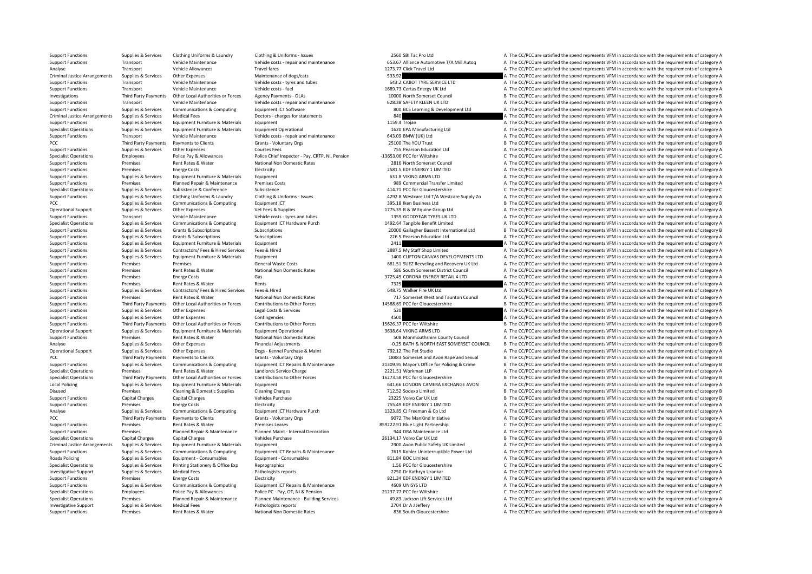Support Functions Supplies & Services Clothing Uniforms & Laundry Clothing & Uniforms - Issues 2560 SBI Tac Pro Ltd A The CC/PCC are satisfied the spend represents VFM in accordance with the requirements of category A Support Functions Transport Vehicle Maintenance Vehicle costs - repair and maintenance S55.67 Alliance Automotive T/A Mill Autoo A The CC/PCC are satisfied the spend represents VFM in accordance with the requirements of ca Analyse Transport Vehicle Allowances Travel fares Travel fares 1273.77 Click Travel Ltd A The CC/PCC are satisfied the spend represents VFM in accordance with the requirements of category A The Critect A The Critect A The Criminal Justice Arrangements Supplies & Services Other Expenses Maintenance of dogs/cats Maintenance of dogs/cats 533.92 A The CC/PCC are satisfied the spend represents VFM in accordance with the requirements of category Transport Vehicle Maintenance Vehicle costs ‐ tyres and tubes 643.2 CABOT TYRE SERVICE LTD A The CC/PCC are satisfied the spend represents VFM in accordance with the requirements of category A Support Functions Transport Vehicle Maintenance Vehicle costs ‐ fuel 1689.73 Certas Energy UK Ltd A The CC/PCC are satisfied the spend represents VFM in accordance with the requirements of category A Investigations Third Party Payments Other Local Authorities or Forces Agency Payments - OLAs 10000 North Somerset Council B The CC/PCC are satisfied the spend represents VFM in accordance with the requirements of category Support Functions Transport Vehicle Maintenance Vehicle costs ‐ repair and maintenance 628.38 SAFETY KLEEN UK LTD A The CC/PCC are satisfied the spend represents VFM in accordance with the requirements of category A Support Functions Supplies & Services Communications & Computing Equipment ICT Software 800 BCS Learning & Development Ltd A The CC/PCC are satisfied the spend represents VFM in accordance with the requirements of category Criminal Justice Arrangements Supplies & Services Medical Fees Doctors - charges for statements Doctors - charges for statements and the spend represents are and the cc/PCC are satisfied the spend represents VFM in accorda Support Functions Supplies & Services Equipment Furniture & Materials Equipment Equipment Equipment Equipment 1159.4 Trojan A The CC/PCC are satisfied the spend represents VFM in accordance with the requirements of categor Specialist Operations Supplies & Services Equipment Furniture & Materials Equipment Operational 1620 EPA Manufacturing Ltd A The CC/PCC are satisfied the spend represents VFM in accordance with the requirements of category Support Functions Transport Vehicle Maintenance Vehicle costs ‐ repair and maintenance Support of the CC/PCC are satisfied the spend represents VFM in accordance with the requirements of category A PCC Third Party Payments Payments of Clients Grants - Voluntary Orgs 25100 The YOU Trust B The CC/PCC are satisfied the spend represents VFM in accordance with the requirements of category B<br>25100 The Counter Barrow A The Support Functions Supplies & Services Other Expenses 2013 Courses Fees 2013 Courses Fees 755 Pearson Education Ltd A The CC/PCC are satisfied the spend represents VFM in accordance with the requirements of category A Specialist Operations Employees Police Pay & Allowances Police Chief Inspector - Pay, CRTP, NI, Pension -13653.06 PCC for Wiltshire C The CC/PCC are satisfied the spend represents VFM in accordance with the requirements of Support Functions Premises Rent Rates & Water National Non Domestic Rates 2816 North Somerset Council 2816 North Somerset Council A The CC/PCC are satisfied the spend represents VFM in accordance with the requirements of c Support Functions Premises Premises Energy Costs Electricity Electricity A The CONCLETER A The CC/PCC are satisfied the spend represents VFM in accordance with the requirements of category A The CONCLETER CONCLETER STATE O Support Functions Supplies & Services Equipment Furniture & Materials Equipment Equipment 631.8 VIKING ARMS LTD A The CC/PCC are satisfied the spend represents VFM in accordance with the requirements of category A Support Functions Premises Planned Repair & Maintenance Premises Costs 989 Commercial Transfer Limited A The CC/PCC are satisfied the spend represents VFM in accordance with the requirements of category A The Cripcial Tran Specialist Operations Supplies Conference Supplies Conference Subsidiary Conference Subsidiary Conference 414.71 PCC for Gloucestershire C The CC/PCC are satisfied the spend represents VFM in accordance with the requiremen Supplier & Services Supplier Clothing Uniforms & Laundry Clothing Bundow Clothing Bundow Clothing Bundow Clothing Bundow Clothing Bundow - supplier and the CAPC are satisfied the spend represents VFM in accordance with the PCC Supplies & Supplies & Services Communications & Computing Equipment ICT 395.18 Iken Business Ltd B The CC/PCC are satisfied the spend represents VFM in accordance with the requirements of category B Operational Support Supplies & Services Other Expenses Vet Fees & Supplies Vet Fees & Supplies 1775.39 B & W Equine Group Ltd A The CC/PCC are satisfied the spend represents VFM in accordance with the requirements of categ A The CC/PCC are satisfied the spend represents VFM in accordance with the requirements of category A Specialist Operations Sunnline & Services Communications & Communications & Communications & Communications & Communications & Communications & Communications & Communications & Communications & Communications & Communicat Support Functions Supplies & Services Grants & Subscriptions Subscriptions Subscriptions Subscriptions Subscriptions Subscriptions and Subscriptions 20000 Gallagher Bassett International Ltd B The CC/PCC are satisfied the Support Functions Supplies & Services Grants & Subscriptions Subscriptions Subscriptions Subscriptions and the Subscriptions and the CO/PC are satisfied the spend represents VFM in accordance with the requirements of categ 2411 **A** The CC/PCC are satisfied the spend represents VFM in accordance with the requirements of category A Support Functions Supplies & Services Contractors/ Fees & Hired Services Fees & Hired 2887.5 My Staff Shop Limited A The CC/PCC are satisfied the spend represents VFM in accordance with the requirements of category A Support Functions Supplies & Services Equipment Furniture & Materials Equipment 1400 CLIFTON CANVAS DEVELOPMENTS LTD A The CC/PCC are satisfied the spend represents VFM in accordance with the requirements of category A Support Functions Premises Premises Premises Premises Premises General Waste Costs General Waste Costs 681.51 SUEZ Recycling and Recovery UK Ltd A The CC/PCC are satisfied the spend represents VFM in accordance with the re A The CC/PCC are satisfied the spend represents VFM in accordance with the requirements of category A Support Functions Premises Energy Costs Gas Gas Support Functions and the CC/PCC are satisfied the spend represents VFM in accordance with the requirements of category A The CC/PC are satisfied the spend represents VFM in Support Functions Premises Rent Rates & Water Rents 7325 A The CC/PCC are satisfied the spend represents VFM in accordance with the requirements of category A Support Functions Supplies & Services Contractors/ Fees & Hired Services Fees & Hired Fees & Hired 648.75 Walker Fire UK Ltd A The CC/PCC are satisfied the spend represents VFM in accordance with the requirements of catego Support Functions Premises Rent Rates & Water National Non Domestic Rates 717 Somerset West and Taunton Council A The CC/PCC are satisfied the spend represents VFM in accordance with the requirements of category A Support Functions Third Party Payments Other Local Authorities or Forces Contributions to Other Forces contributions of other Forces and the Support Function and the CC/PCC are satisfied the spend represents VFM in accorda Support Functions Supplies & Services Other Expenses Legal Costs & Services Legal Costs & Services Legal Costs & Services 520 A The CC/PCC are satisfied the spend represents VFM in accordance with the requirements of categ Support Functions Supplies & Services Other Expenses Contingencies Contingencies 4500 A The CC/PCC are satisfied the spend represents VFM in accordance with the requirements of category A Support Functions Third Party Payments Other Local Authorities or Forces Contributions to Other Forces and the EQUES of the CONSECT BE The CC/PCC are satisfied the spend represents VFM in accordance with the requirements o Operational Support Support Support Support Support Support Support Support Support Support Support Support Support Support Support Support Support Support Support Support Support Support Support Support Support A The CC/P Support Functions Premises Rent Rates & Water National Non Domestic Rates 508 Monmouthshire County Council A The CC/PCC are satisfied the spend represents VFM in accordance with the requirements of category A Analyse Supplies & Services Other Expenses Financial Adjustments Financial Adjustments **Financial Adjustments** Financial Adjustments **Financial Adjustments Financial Adjustments Financial Adjustments Fig. 20.25 BATH** Operational Support Supplies & Services Other Expenses Dogs - Kennel Purchase & Maint Purchase Maint 792.12 The Pet Studio A The CC/PCC are satisfied the spend represents VFM in accordance with the requirements of category PCC Third Party Payments Payments to Clients Grants Voluntary Orgs 18883 Somerset and Avon Rape and Sexual B The CC/PCC are satisfied the spend represents VFM in accordance with the requirements of category B Support Functions Supplies & Services Communications & Computing Equipment ICT Repairs & Maintenance 21309.95 Mayor's Office for Policing & Crime B The CC/PCC are satisfied the spend represents VFM in accordance with the r Specialist Operations Premises Rent Rates & Water Landlords Service Charge 2221.51 Workman LLP A The CC/PCC are satisfied the spend represents VFM in accordance with the requirements of category A The research Category A T Spacialist Operations Third Darty Dayments Other Incal Authorities or Forces Contributions to Other Engres States of the Control of Calicar Control and recorder of the Control and recorder of the Control and The Control an Local Policing Supplies & Services Equipment Furniture & Materials Equipment Equipment 641.66 LONDON CAMERA EXCHANGE AVON A The CC/PCC are satisfied the spend represents VFM in accordance with the requirements of category Disused Premises Cleaning & Domestic Supplies Cleaning Charges Cleaning Charges T12.52 Sodexo Limited B The CC/PCC are satisfied the spend represents VFM in accordance with the requirements of category B Support Functions Capital Charges Capital Charges Capital Charges Vehicles Purchase Vehicles Purchase 23225 Volvo Car UK Ltd B The CC/PCC are satisfied the spend represents VFM in accordance with the requirements of catego Support Functions Premises Energy Costs Functions Electricity 755.49 EDF ENERGY 1 LIMITED A The CC/PCC are satisfied the spend represents VFM in accordance with the requirements of category A Analyse Supplies & Services Communications & Computing Equipment ICT Hardware Purch 1323.85 CJ Freeman & Co Ltd A The CC/PCC are satisfied the spend represents VFM in accordance with the requirements of category A PCC Third Party Payments Payments of Clients Grants - Voluntary Orgs 9072 The ManKind Initiative A The CC/PCC are satisfied the spend represents VFM in accordance with the requirements of category A The Crient Partners of Support Functions Premises Rent Rates & Water Premises Leases Premises Rent Rates Report Premises Premises Premises Premises Partnership C The CC/PCC are satisfied the spend represents VFM in accordance with the requiremen Support Functions Premises Planned Repair & Maintenance Planned Maint Internal Decoration 944 DRA Maintenance Ltd A The CC/PCC are satisfied the spend represents VFM in accordance with the requirements of category A The CC Specialist Operations Capital Charges Capital Charges 2013 Vehicles Purchase 26134.17 Volvo Car UK Ltd B The CC/PCC are satisfied the spend represents VFM in accordance with the requirements of category B Criminal Justice Arrangements Supplies & Services Equipment Furniture & Materials Equipment Europy equipment and the compublic Safety UK Limited A The CC/PCC are satisfied the spend represents VFM in accordance with the re Support Functions Supplies & Services Communications & Computing Equipment ICT Repairs & Maintenance 7619 Kohler Uninterruptible Power Ltd A The CC/PCC are satisfied the spend represents VFM in accordance with the requirem Roads Policing Supplies & Services Equipment - Consumables Equipment - Consumables Equipment - Consumables 811.84 BOC Limited A The CC/PCC are satisfied the spend represents VFM in accordance with the requirements of categ Specialist Operations Supplies & Services Printing Stationery & Office Exp Reprographics 1.56 PCC for Gloucestershire C The CC/PCC are satisfied the spend represents VFM in accordance with the requirements of category C Investigative Support Supplies & Services Medical Fees Pathologists reports Pathologists reports 2250 Dr Kathryn Urankar A The CC/PCC are satisfied the spend represents VFM in accordance with the requirements of category A Support Functions Premises Energy Costs Functions Electricity and the COSTS Electricity and the Stategory A The CC/PCC are satisfied the spend represents VFM in accordance with the requirements of category A Support Functions Supplies & Services Communications & Computing Equipment ICT Repairs & Maintenance 4609 UNISYS LTD 4609 UNISYS LTD A The CC/PCC are satisfied the spend represents VFM in accordance with the requirements o Specialist Operations Employees Police Pay & Allowances Police PC - Pay, OT, NI & Pension 21237.77 PCC for Wiltshire C The CC/PCC are satisfied the spend represents VFM in accordance with the requirements of category C res Premises Planned Renair & Maintenance Planned Maintenance - Building Services 49.83 Jackson Lift Services Itd A The CC/PCC are satisfied the spend represents VFM in accordance with the requirements of category A Investigative Support Supplies & Services Medical Fees Pathologists reports Pathologists reports 2704 Dr A J Jeffery A The CC/PCC are satisfied the spend represents VFM in accordance with the requirements of category A Support Functions Premises Rent Rates & Water National Non Domestic Rates National Non Domestic Rates Rent Rates Rent Rational Non Domestic Rates assume a S36 South Gloucestershire A The CC/PCC are satisfied the spend repr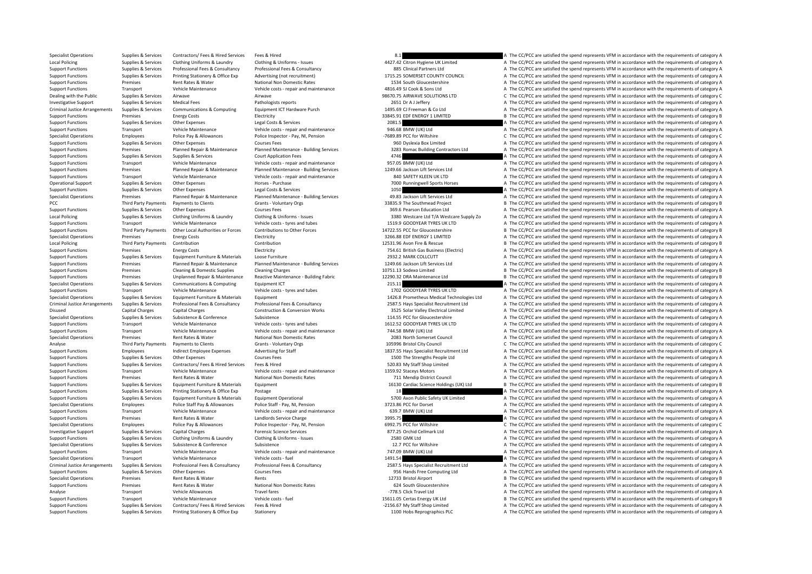Specialist Operations Supplies & Services Contractors/ Fees & Hired Services Fees & Hired Services Fees & Hired Services Fees & Hired 8.1 A The CC/PCC are satisfied the spend represents VFM in accordance with the requireme Local Policing Supplies & Services Clothing Uniforms & Laundry Clothing & Uniforms - Issues 4427.42 Citron Hygiene UK Limited A The CC/PCC are satisfied the spend represents VFM in accordance with the requirements of categ Support Functions Supplies & Services Professional Fees & Consultancy Professional Fees & Consultancy Professional Fees & Consultancy Professional Fees & Consultancy Professional Fees & Consultancy Professional Fees & Cons Support Functions Supplies & Services Printing Stationery & Office Exp Advertising (not recruitment) and the stationer and the CONTY COUNCIL A The CC/PCC are satisfied the spend represents VFM in accordance with the requir Premises Rent Rates & Water National Non Domestic Rates 1534 South Gloucestershire A The CC/PCC are satisfied the spend represents VFM in accordance with the requirements of category A Support Functions Transport Vehicle Maintenance Vehicle costs - repair and maintenance 4816.49 SJ Cook & Sons Ltd A The CC/PCC are satisfied the spend represents VFM in accordance with the requirements of category A The Cr Dealing with the Public Supplies & Services Airwave Airwave Airwave Airwave Airwave Airwave Airwave Airwave Airwave Airwave Airwave Airwave 98670.75 AIRWAVE SOLUTIONS LTD C The CC/PCC are satisfied the spend represents VFM Investigative Support Supplies & Services Medical Fees Pathologists reports 2651 Dr A J Jeffery A The CC/PCC are satisfied the spend represents VFM in accordance with the requirements of category A Criminal Justice Arrangements Supplies & Services Communications & Computing Equipment ICT Hardware Purch 1495.69 CJ Freeman & Co Ltd A The CC/PCC are satisfied the spend represents VFM in accordance with the requirements Support Functions Premises Energy Costs Electricity Functions assesses and the spend of the spend represents VFM in accordance with the requirements of category B Support Functions Supplies & Services Other Expenses Legal Costs & Services 2081.5 A The CC/PCC are satisfied the spend represents VFM in accordance with the requirements of category A The Criter Costs are satisfied the sp Support Functions Transport Vehicle Maintenance Vehicle costs repair and maintenance 946.68 BMW (UK) Ltd A The CC/PCC are satisfied the spend represents VFM in accordance with the requirements of category A Specialist Operations Employees Police Pay & Allowances Police Inspector - Pay, NI, Pension – 7689.89 PCC for Wiltshire C The CC/PCC are satisfied the spend represents VFM in accordance with the requirements of category C Support Functions Supplies & Services Other Expenses Courses Fees Courses Fees Courses Fees 960 Dyslexia Box Limited A The CC/PCC are satisfied the spend represents VFM in accordance with the requirements of category A The Support Functions Premises Planned Repair & Maintenance Planned Maintenance Building Services 3283 Romac Building Contractors Ltd A The CC/PCC are satisfied the spend represents VFM in accordance with the requirements of c Support Functions Supplies & Services Supplies & Services Court Application Fees 4746 A The CC/PCC are satisfied the spend represents VFM in accordance with the requirements of category A Support Functions Transport Vehicle Maintenance Vehicle costs ‐ repair and maintenance 957.05 BMW (UK) Ltd A The CC/PCC are satisfied the spend represents VFM in accordance with the requirements of category A Support Functions Premises Planned Repair & Maintenance Planned Maintenance Building Services 1249.66 Jackson Lift Services Ltd A The CC/PCC are satisfied the spend represents VFM in accordance with the requirements of cat Support Functions Transport Vehicle Maintenance Vehicle costs ‐ repair and maintenance 840 SAFETY KLEEN UK LTD A The CC/PCC are satisfied the spend represents VFM in accordance with the requirements of category A Operational Support Supplies & Services Other Expenses Horses Purchase Purchase Purchase 7000 Runningwell Sports Horses A The CC/PCC are satisfied the spend represents VFM in accordance with the requirements of category A Support Functions Supplies A The CC/PCC are satisfied the spend represents VFM in accordance with the requirements of category A The CC/PCC are satisfied the spend represents VFM in accordance with the requirements of cate Specialist Operations Premises Planned Renair & Maintenance Planned Maintenance - Building Services 49.83 Jackson Lift Services 1 td The CC/PCC are satisfied the spend represents VFM in accordance with the requirements of PCC Third Party Payments Payments to Clients Sames Lower Care and Server Assess Clients Grants - Voluntary Orgs Sames 33835.9 The Southmead Project B The CC/PCC are satisfied the spend represents VFM in accordance with the Support Functions Supplies & Services Other Expenses 2017 Courses Fees Courses Fees 369.6 Pearson Education Ltd A The CC/PCC are satisfied the spend represents VFM in accordance with the requirements of category A Local Po A The CC/PCC are satisfied the spend represents VFM in accordance with the requirements of category A Support Functions Transport Vehicle Maintenance Vehicle costs tyres and tubes 1519.9 GOODYEAR TYRES UK LTD A The CC/PCC are satisfied the spend represents VFM in accordance with the requirements of category A Support Functions Third Party Payments Other Local Authorities or Forces Contributions to Other Forces Content<br>
Specialist Operations Specialist Operations of the requirements of category B<br>
Specialist Operations Specialis Specialist Operations Specialist Operations Premises Premises Energy Costs Energy Costs Electricity Electricity and the Specialist Operation and the spend represents VFM in accordance with the requirements of category A Li B The CC/PCC are satisfied the spend represents VFM in accordance with the requirements of category B Support Functions Premises Energy Costs Electricity Electricity A The CC/PCC are satisfied the spend represents VFM in accordance with the requirements of category A Support Functions Supplies & Services Equipment Furniture & Materials Loose Furniture 2932.2 MARK COLLCUTT 2092.2 MARK COLLCUTT A The CC/PCC are satisfied the spend represents VFM in accordance with the requirements of cat Premises Planned Repair & Maintenance Planned Maintenance - Building Services 1249.66 Jackson Lift Services Ltd A The CC/PCC are satisfied the spend represents VFM in accordance with the requirements of category A Support B The CC/PCC are satisfied the spend represents VFM in accordance with the requirements of category B Support Functions Premises Unplanned Repair & Maintenance Reactive Maintenance - Building Fabric 12230.32 DRA Maintenance Ltd B The CC/PCC are satisfied the spend represents VFM in accordance with the requirements of categ Specialist Operations Supplies & Services Communications & Computing Foujoment ICT 215.11 215.11 A The CC/PCC are satisfied the spend represents VFM in accordance with the requirements of category A Support Functions Transport Vehicle Maintenance Vehicle costs ‐ tyres and tubes 1702 GOODYEAR TYRES UK LTD A The CC/PCC are satisfied the spend represents VFM in accordance with the requirements of category A Supplies & Services Equipment Furniture & Materials Equipment Equipment and the supplies to the content of the CC/PCC are satisfied the spend represents VFM in accordance with the requirements of category A Criminal Justice Arrangements Supplies & Services Professional Fees & Consultancy Professional Fees & Consultancy Professional Fees & Consultancy Professional Fees & Consultancy and the consultancy 2587.5 Hays Specialist R Disused Capital Charges Capital Charges Construction & Conversion Works 3525 Solar Valley Electrical Limited A The CC/PCC are satisfied the spend represents VFM in accordance with the requirements of category A Specialist Operations Supplies & Services Subsistence Subsistence Subsistence Subsistence Subsistence Subsistence Subsistence Subsistence Subsistence Subsistence and tubes and tubes and the service of the CC/PCC are satisf Support Functions Transport Vehicle Maintenance Vehicle costs – tyres and tubes 1612.52 GOODYEAR TYRES UK LTD A The CC/PCC are satisfied the spend represents VFM in accordance with the requirements of category A The Device Support Vehicle Maintenance Vehicle costs ‐ repair and maintenance 744.58 BMW (UK) Ltd A The CC/PCC are satisfied the spend represents VFM in accordance with the requirements of category A The Criteria and the result of th Specialist Operations Premises Rent Rates & Water National Non Domestic Rates 2083 North Somerset Council A The CC/PCC are satisfied the spend represents VFM in accordance with the requirements of category A Analyse Third Party Payments Payments to Clients Grants - Voluntary Orgs Grants - Voluntary Orgs 105996 Bristol City Council C The CC/PCC are satisfied the spend represents VFM in accordance with the requirements of catego Support Functions Employees Indirect Employee Expenses Advertising for Staff 1837.55 Hays Specialist Recruitment Ltd A The CC/PCC are satisfied the spend represents VFM in accordance with the requirements of category A The A The CC/PCC are satisfied the spend represents VFM in accordance with the requirements of category A Support Functions Supplies & Services Contractors/ Fees & Hired Services Fees & Hired Fees & Hired 520.83 My Staff Shop Limited A The CC/PCC are satisfied the spend represents VFM in accordance with the requirements of cat Support Functions Transport Vehicle Maintenance Vehicle costs ‐ repair and maintenance 1359.92 Staceys Motors A The CC/PCC are satisfied the spend represents VFM in accordance with the requirements of category A The result Support Functions Support Premises Rent Rates Rent Rates National Non Domestic Rates 711 Mendin District Council A The CC/PCC are satisfied the spend represents VFM in accordance with the requirements of category A Support Functions Supplies & Services Equipment Furniture & Materials Equipment 16130 Cardiac Science Holdings (UK) Ltd B The CC/PCC are satisfied the spend represents VFM in accordance with the requirements of category B Support Functions Supplies & Services Printing Stationery & Office Exp Postage 18 a The CC/PCC are satisfied the spend represents VFM in accordance with the requirements of category A Supplies Supplies & Services Equipment Furniture & Materials Equipment Operational States (2014) a The CC/PCC are satisfied the spend represents VFM in accordance with the requirements of category A and the conductions of Specialist Operations Employees Police Staff Pay & Allowances Police Staff Pay NI, Pension 3723.86 PCC for Dorset A The CC/PCC are satisfied the spend represents VFM in accordance with the requirements of category A The CC Support Functions Transport Vehicle Maintenance Vehicle costs - repair and maintenance S99.7 BMW (UK) Ltd A The CC/PCC are satisfied the spend represents VFM in accordance with the requirements of category A Support Functions Premises Rent Rates & Water Landlords Service Charge 2009 and the Support Charge 3995.75 A The CC/PCC are satisfied the spend represents VFM in accordance with the requirements of category A The CC/PCC ar Specialist Operations Employees Police Pay & Allowances Police Inspector - Pay, NI, Pension 6992.75 PCC for Wiltshire C The CC/PCC are satisfied the spend represents VFM in accordance with the requirements of category C In Investigative Support Supplies & Services Capital Charges Breadery A The CC/PCC are satisfied the spend represents VFM in accordance with the requirements of category A The CC/PCC are satisfied the spend represents VFM in Support Functions Supplies & Services Clothing Uniforms & Laundry Clothing & Uniforms - Issues 2580 GMK Ltd A The CC/PCC are satisfied the spend represents VFM in accordance with the requirements of category A Specialist Operations Supplies & Services Subsistence Subsistence Subsistence Subsistence Subsistence Subsistence Subsistence a Subsistence Subsistence a Subsistence of the spend operations are a The CC/PCC are satisfied t Support Functions Transport Vehicle Maintenance Vehicle costs ‐ repair and maintenance 747.09 BMW (UK) Ltd A The CC/PCC are satisfied the spend represents VFM in accordance with the requirements of category A Specialist Operations Transport Vehicle Maintenance Vehicle costs - fuel Vehicle costs - fuel Vehicle costs - fuel 1491.54 A The CC/PCC are satisfied the spend represents VFM in accordance with the requirements of category Criminal Justice Arrangements Supplies & Services Professional Fees & Consultancy Professional Fees & Consultancy Professional Fees & Consultancy Professional Fees & Consultancy Professional Fees & Consultancy Professional Support Functions Supplies & Services Other Expenses Courses Fees expending Ltd B and Services Fees 956 Hands Free Computing Ltd A The CC/PCC are satisfied the spend represents VFM in accordance with the requirements of ca Specialist Operations Premises Rent Rates & Water Rents 12733 Bristol Airport <sup>B</sup> The CC/PCC are satisfied the spend represents VFM in accordance with the requirements of category B Support Functions Premises Premises Rent Rates & Water Mational Non Domestic Rates Rates Rates and the CON Domestershire A The CC/PCC are satisfied the spend represents VFM in accordance with the requirements of category A A The CC/PCC are satisfied the spend represents VFM in accordance with the requirements of category A Support Functions Transport Vehicle Maintenance Vehicle costs – fuel 15611.05 Certas Energy UK Itd B The CC/PCC are satisfied the spend represents VFM in accordance with the requirements of category B Support Functions Supplies & Services Contractors/ Fees & Hired Services Fees & Hired Fees & Hired Fees & Hired 2156.67 My Staff Shop Limited A The CC/PCC are satisfied the spend represents VFM in accordance with the requi Support Functions Supplies & Services Printing Stationery & Office Exp Stationery 1100 Hobs Reprographics PLC A The CC/PCC are satisfied the spend represents VFM in accordance with the requirements of category A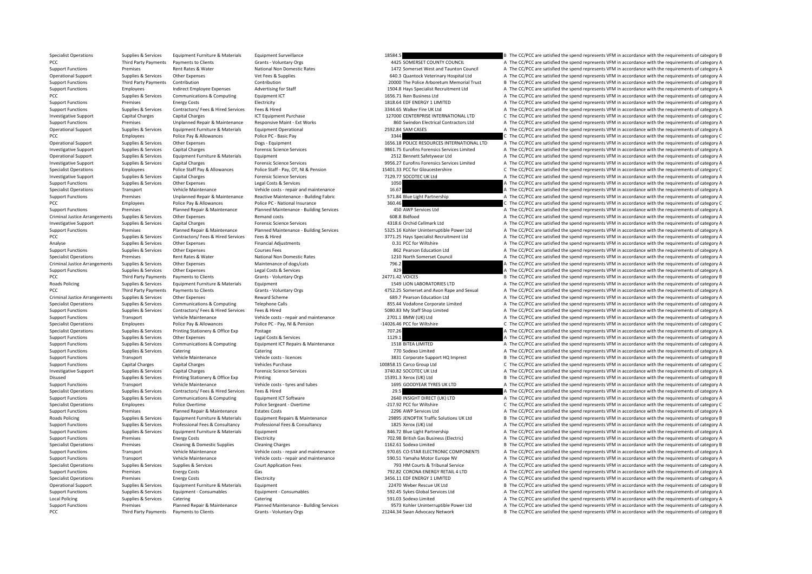Specialist Operations Supplies & Services Equipment Furniture & Materials Equipment Surveillance 18584.5 B The CC/PCC are satisfied the spend represents VFM in accordance with the requirements of category B PCC Third Party Payments Payments to Clients Grants - Voluntary Orgs Grants - Voluntary Orgs 4425 SOMERSET COUNTY COUNCIL A The CC/PCC are satisfied the spend represents VFM in accordance with the requirements of category Support Functions Premises Premises Rent Rates & Water National Non Domestic Rates 1472 Somerset West and Taunton Council A The CC/PCC are satisfied the spend represents VFM in accordance with the requirements of category Operational Support Supplies & Services Other Expenses Vet Fees & Supplies Vet Fees & Supplies 640.3 Quantock Veterinary Hospital Ltd A The CC/PCC are satisfied the spend represents VFM in accordance with the requirements Third Party Payments Contribution Contribution Contribution Contribution Contribution Contribution Contribution Contribution Contribution Contribution 20000 The Police Arboretum Memorial Trust B The CC/PCC are satisfied th Support Functions Employees Indirect Employee Expenses Advertising for Staff 1504.8 Hays Specialist Recruitment Ltd A The CC/PCC are satisfied the spend represents VFM in accordance with the requirements of category A PCC PCC Supplies A Supplies & Services Communications & Computing Equipment ICT 2000 Equipment ICT 1656.71 Iken Business Ltd A The CC/PCC are satisfied the spend represents VFM in accordance with the requirements of catego Support Functions Premises Energy Costs Functions Electricity Functions and the spend represents VFM in accordance with the requirements of category A Support Functions Supplies & Services Contractors/ Fees & Hired Services Fees & Hired Services Fees & Hired 334.65 Walker Fire UK Ltd A The CC/PCC are satisfied the spend represents VFM in accordance with the requirements Investigative Support Capital Charges Capital Charges ICT Equipment Purchase 127000 CENTERPRISE INTERNATIONAL LTD C The CC/PCC are satisfied the spend represents VFM in accordance with the requirements of category C Support Functions Premises Unplanned Repair & Maintenance Responsive Maint - Ext Works and the Second Contractors Ltd A The CC/PCC are satisfied the spend represents VFM in accordance with the requirements of category A Th Operational Support Supplies & Services Equipment Eurotive & Materials Equipment Operational 2592.84 SAM CASES A The CC/PCC are satisfied the spend represents VFM in accordance with the requirements of category A PCC POLICE PAY Allowances Police Pay & Allowances Police PC - Basic Pay 3344 C The CC/PCC are satisfied the spend represents VFM in accordance with the requirements of category C are spend represents VFM in accordance with Supplies & Services Other Expenses Dogs - Equipment 2008 and the Service of Category A The CC/PCC are satisfied the spend represents VFM in accordance with the requirements of category A Investigative Support Supplies & Services Capital Charges Forensic Science Services Forensic Science Services Forensic Science Services Services Services Services Services Services Services Services Services Services Servi Operational Support Supplies & Services Equipment Furniture & Materials Equipment Equipment 2512 Bennett Safetywear Ltd A The CC/PCC are satisfied the spend represents VFM in accordance with the requirements of category A Examples and Supplies & Services Capital Charges Forensic Science Services Forensic Science Services Processives Capital Charges Forensic Science Services and the CONCLET of the CC/PCC are satisfied the spend represents VF Specialist Operations Employees Employees Police Staff Pay & Allowances Police Staff - Pay, OT, NI & Pension 15401.33 PCC for Gloucestershire C The CC/PCC are satisfied the spend represents VFM in accordance with the requi Investigative Support Support Support Support Capital Charges Capital Charges Forensic Science Services Forensic Science Services 7129.77 SOCOTEC UK Ltd A The CC/PCC are satisfied the spend represents VFM in accordance wit Support Functions Supplies & Services Other Expenses Legal Costs & Services Legal Costs & Services Support Costs and the COST of the CC/PCC are satisfied the spend represents VFM in accordance with the requirements of cate Specialist Operations of the CC/PCC are satisfied the spend represents Vehicle Maintenance Vehicle costs - repair and maintenance 16.67 16.67 A The CC/PCC are satisfied the spend represents VFM in accordance with the requi Support Functions Premises Unplanned Repair & Maintenance Reactive Maintenance - Building Fabric 571.84 Blue Light Partnership A The CC/PCC are satisfied the spend represents VFM in accordance with the requirements of cate PCC Employees Police Pay & Allowances Police PC - National Insurance 360.46 360.46 C The CC/PCC are satisfied the spend represents VFM in accordance with the requirements of category C Support Functions Premises Planned Repair & Maintenance Planned Maintenance - Building Services 450 AWP Services Ltd A The CC/PCC are satisfied the spend represents VFM in accordance with the requirements of category A The A The CC/PCC are satisfied the spend represents VFM in accordance with the requirements of category A Investigative Support Support Support Support Services Capital Charges Forencic Science Services 4318.6 Orchid Cellmark Ltd A The CC/PCC are satisfied the spend represents VFM in accordance with the requirements of categor Support Functions Premises Planned Repair & Maintenance Planned Maintenance Building Services 5325.16 Kohler Uninterruptible Power Ltd A The CC/PCC are satisfied the spend represents VFM in accordance with the requirements PCC PCC Supplies A Supplies & Services Contractors/ Fees & Hired Services Fees & Hired 3771.25 Hays Specialist Recruitment Ltd A The CC/PCC are satisfied the spend represents VFM in accordance with the requirements of cate A The CC/PCC are satisfied the spend represents VFM in accordance with the requirements of category A Support Functions Supplies & Services Other Expenses Courses Fees 862 Pearson Education Ltd A The CC/PCC are satisfied the spend represents VFM in accordance with the requirements of category A Specialist Operations Premises Rent Rates & Water National Non Domestic Rates 1210 North Somerset Council A The CC/PCC are satisfied the spend represents VFM in accordance with the requirements of category A Criminal Justice Arrangements Supplies & Services Other Expenses Maintenance of dogs/cats Maintenance of dogs/cats 796.2 796.2 A The CC/PCC are satisfied the spend represents VFM in accordance with the requirements of cate Support Functions Supplies & Services Other Expenses Legal Costs & Services 829 A The CC/PCC are satisfied the spend represents VFM in accordance with the requirements of category A PCC Third Party Payments Payments of Clients Grants - Voluntary Orgs 24771.42 VOICES B The CC/PCC are satisfied the spend represents VFM in accordance with the requirements of category B<br>B The CC/PCC are satisfied the spen Roads Policing Supplies & Services Equipment Furniture & Materials Equipment 1549 Lion 1549 LION LABORATORIES LTD A The CC/PCC are satisfied the spend represents VFM in accordance with the requirements of category A PCC Third Party Payments Payments to Clients Grants - Voluntary Orgs 6752.25 Somerset and Avon Rape and Sexual A The CC/PCC are satisfied the spend represents VFM in accordance with the requirements of category A Criminal Justice Arrangements Supplies & Services Other Expenses Reward Scheme 689.7 Pearson Education Ltd A The CC/PCC are satisfied the spend represents VFM in accordance with the requirements of category A Specialist Operations Supplies & Services Communications & Computing Telephone Calls 855.44 Vodafone Corporate Limited A The CC/PCC are satisfied the spend represents VFM in accordance with the requirements of category A T Support Functions Supplies & Services Contractors/ Fees & Hired Services Fees & Hired Services Fees & Hired Services Fees & Hired Services Fees & Hired Services Fees & Hired Services Fees & Hired Services Fees & Hired Serv Support Functions Transport Vehicle Maintenance Vehicle costs ‐ repair and maintenance 2701.1 BMW (UK) Ltd A The CC/PCC are satisfied the spend represents VFM in accordance with the requirements of category A The Costs rep Specialist Operations Employees Police Pay & Allowances Police PC - Pay, NI & Pension Police PC - Pay, NI & Pension – 14026.46 PCC for Wiltshire C The CC/PCC are satisfied the spend represents VFM in accordance with the re Specialist Operations Specialist Operations Supplies A The CC/PCC are satisfied the spend represents VFM in accordance with the requirements of category A<br>A The CC/PCC are satisfied the spend represents VFM in accordance w Support Functions Supplies & Services Other Expenses Legal Costs & Services Legal Costs & Services Legal Costs & Services 1129.1 A The CC/PCC are satisfied the spend represents VFM in accordance with the requirements of ca Support Functions Supplies & Services Communications & Computing Equipment ICT Repairs & Maintenance 1518 BITEA LIMITED A The CC/PCC are satisfied the spend represents VFM in accordance with the requirements of category A Support Functions Supplies & Services Catering Catering Catering Catering Catering Catering Catering Catering Catering Catering Catering a The CC/PC are satisfied the spend represents VFM in accordance with the requirement Transport Vehicle Maintenance Vehicle costs ‐ licences 3831 Corporate Support HQ Imprest B The CC/PCC are satisfied the spend represents VFM in accordance with the requirements of category B Support Functions Capital Charges Capital Charges Vehicles Purchase Vehicles Purchase 100858.15 Carco Group Ltd C The CC/PCC are satisfied the spend represents VFM in accordance with the requirements of category C Investigative Support Supplies & Services Capital Charges Capital Charges Forensic Science Services Services Support Support Support Support Support Support Support Support Support Support Support Support Support Support S Disused Supplies & Services Printing Stationery & Office Eve Printing 15391.3 Years (UK) Ltd B The CC/PCC are satisfied the spend represents VFM in accordance with the requirements of category B Support Functions Transport Vehicle Maintenance Vehicle costs - tyres and tubes 1695 GOODYEAR TYRES UK LTD A The CC/PCC are satisfied the spend represents VFM in accordance with the requirements of category A Specialist Operations Supplies & Services Contractors/ Fees & Hired Services Fees & Hired Services Fees & Hired 29.5 A The CC/PCC are satisfied the spend represents VFM in accordance with the requirements of category A Support Functions Supplies & Services Communications & Computing Equipment ICT Software 2640 INSIGHT DIRECT (UK) LTD A The CC/PCC are satisfied the spend represents VFM in accordance with the requirements of category A Specialist Operations Specialist Operations Police Overtime Police Sergeant Avention – 1982 C The CC/PC are satisfied the spend represents VFM in accordance with the requirements of category C Specialist Operations in the Support Functions Premises Planned Repair & Maintenance Estates Costs 2296 AWP Services Ltd A The CC/PCC are satisfied the spend represents VFM in accordance with the requirements of category A Roads Policing Supplies & Services Equipment Furniture & Materials Equipment Repairs & Maintenance 29895 JENOPTIK Traffic Solutions UK Ltd B The CC/PCC are satisfied the spend represents VFM in accordance with the requirem Support Functions Supplies & Services Professional Fees & Consultancy Professional Fees & Consultancy Professional Fees & Consultancy A The CC/PCC are satisfied the spend represents VFM in accordance with the requirements Support Functions Supplies & Services Equipment Europeiance Materials Equipment a service and the content of category A The CC/PCC are satisfied the spend represents VFM in accordance with the requirements of category A Support Functions Premises Energy Costs Electricity Electricity A The CC/PCC are satisfied the spend represents VFM in accordance with the requirements of category A Specialist Operations Premises Cleaning & Domestic Supplies Cleaning Charges Cleaning Charges Cleaning Charges Cleaning Charges and the spend intenation of the CC/PCC are satisfied the spend represents VFM in accordance wi Support Functions Transport Vehicle Maintenance Vehicle onts - repair and maintenance Vehicle onts repair and maintenance 970.65 CO-STAR ELECTRONIC COMPONENTS A The CC/PCC are satisfied the spend represents VEM in accordan Support Functions Transport Vehicle Maintenance Vehicle costs - repair and maintenance S90.51 Yamaha Motor Europe NV A The CC/PCC are satisfied the spend represents VFM in accordance with the requirements of category A Specialist Operations Supplies & Services Supplies & Services Court Application Fees 793 HM Courts & Tribunal Service A The CC/PCC are satisfied the spend represents VFM in accordance with the requirements of category A Support Functions Premises Energy Costs Gas Gas Gas 792.82 CORONA ENERGY RETAIL 4 LTD A The CC/PCC are satisfied the spend represents VFM in accordance with the requirements of category A The Criteria energy A The Criteria Specialist Operations Premises Energy Costs Fiertricity Electricity 3456.11 EDF ENERGY 1 LIMITED A The CC/PCC are satisfied the spend represents VFM in accordance with the requirements of category A Operational Support Supplies & Services Equipment Furniture & Materials Equipment Equipment Equipment Equipment<br>
Support Equipment A The CC/PCC are satisfied the spend represents VFM in accordance with the requirements of A The CC/PCC are satisfied the spend represents VFM in accordance with the requirements of category A Local Policing Supplies Services Catering Catering Catering Catering Catering Category A The CC/PCC are satisfied the spend represents VFM in accordance with the requirements of category A Support Functions Premises Planned Repair & Maintenance Planned Maintenance Building Services 9573 Kohler Uninterruptible Power Ltd A The CC/PCC are satisfied the spend represents VFM in accordance with the requirements of PCC Third Party Payments Payments to Clients Grants - Voluntary Orgs 21244.34 Swan Advocacy Network B The CC/PCC are satisfied the spend represents VFM in accordance with the requirements of category B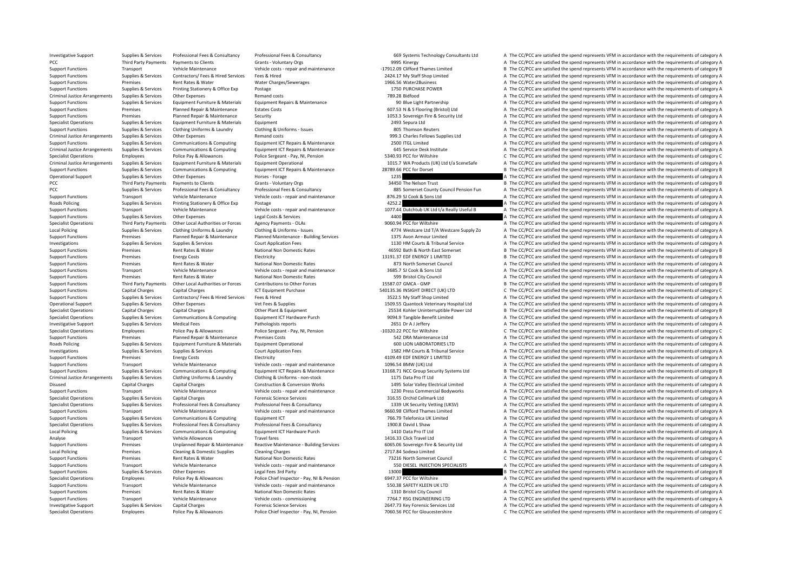Investigative Support Support Support Supportes Professional Fees & Consultancy Professional Fees & Consultancy Professional Fees & Consultancy Consultancy Support of Support of the CC/PCC are satisfied the spend represent PCC Third Party Payments Payments to Clients Grants - Voluntary Orgs 9995 Kinergy 9995 Kinergy A The CC/PCC are satisfied the spend represents VFM in accordance with the requirements of category A Support Functions Transport Vehicle Maintenance Vehicle costs - repair and maintenance - 17912.09 Clifford Thames Limited B The CC/PCC are satisfied the spend represents VFM in accordance with the requirements of category Support Functions Supplies & Services Contractors/ Fees & Hired Services Fees & Hired Fees & Hired 2424.17 My Staff Shop Limited A The CC/PCC are satisfied the spend represents VFM in accordance with the requirements of ca examples a term of the CC/PCC are satisfied the spend represents VFM in accordance with the requirements of category A The CC/PCC are satisfied the spend represents VFM in accordance with the requirements of category A Support Functions Supplies & Services Printing Stationery & Office Exp Postage 1750 PURCHASE POWER 1750 PURCHASE POWER A The CC/PCC are satisfied the spend represents VFM in accordance with the requirements of category A Criminal Justice Arrangements Supplies & Services Other Expenses Remand costs Remand costs Remand costs 789.28 Bidfood A The CC/PCC are satisfied the spend represents VFM in accordance with the requirements of category A T Suppliers, Suppliers, Suppliers, Suppliers, Services Faujoment Furniture & Materials Faujoment Repairs & Maintenance of the Suppliers of COPCC. The CC/PCC are satisfied the spend represents VFM in accordance with the requi Support Functions Premises Planned Repair & Maintenance Estates Costs 607.53 N & S Flooring (Bristol) Ltd A The CC/PCC are satisfied the spend represents VFM in accordance with the requirements of category A Support Functions Premises Planned Repair & Maintenance Security 1053.3 Sovereign Fire & Security Ltd A The CC/PCC are satisfied the spend represents VFM in accordance with the requirements of category A Specialist Operations Supplies & Services Equipment Furniture & Materials Equipment Equipment Purinture & Materials Equipment 2003 Sepura Ltd A The CC/PCC are satisfied the spend represents VFM in accordance with the requi Support Functions Supplies & Services Clothing Uniforms & Laundry Clothing & Uniforms - Issues 805 Thomson Reuters 805 Thomson Reuters A The CC/PCC are satisfied the spend represents VFM in accordance with the requirements Criminal Justice Arrangements Supplies & Services Other Expenses Remand costs Remand costs 999.3 Charles Fellows Supplies Ltd A The CC/PCC are satisfied the spend represents VFM in accordance with the requirements of categ Support Functions Supplies & Services Communications & Computing Foujoment ICT Repairs & Maintenance 2500 ITGL Limited A The CC/PCC are satisfied the spend represents VFM in accordance with the requirements of category A Criminal Justice Arrangements Supplies & Services Communications & Computing Equipment ICT Repairs & Maintenance 645 Service Desk Institute A The CC/PCC are satisfied the spend represents VFM in accordance with the require Specialist Operations Employees Police Pay & Allowances Police Sergeant - Pay, NI, Pension 5340.93 PCC for Wiltshire C The CC/PCC are satisfied the spend represents VFM in accordance with the requirements of category C Criminal Justice Arrangements Supplies & Services Equipment Furniture & Materials Equipment Operational Equipment Operational 1015.7 WA Products (UK) Ltd t/a SceneSafe A The CC/PCC are satisfied the spend represents VFM in Supplier & Services Communications & Computing Fouture Fouture Fouture Fouture Fouture Fouture Fouture Fouture COPCG are satisfied the spend represents VFM in accordance with the requirements of category B Operational Support Supplies & Services Other Expenses Horses Forage 1235 A The CC/PCC are satisfied the spend represents VFM in accordance with the requirements of category A PCC Third Party Payments Payments of Clients Grants - Voluntary Orgs Grants - Voluntary Orgs 34450 The Nelson Trust B The CC/PCC are satisfied the spend represents VFM in accordance with the requirements of category B PCC A The CC/PCC are satisfied the spend represents VEM in accordance with the requirements of category A Support Functions Transport Vehicle Maintenance Vehicle costs ‐ repair and maintenance 876.29 SJ Cook & Sons Ltd A The CC/PCC are satisfied the spend represents VFM in accordance with the requirements of category A Roads Policing Supplies & Services Printing Stationery & Office Exp Postage 4252.2 4252.2 A The CC/PCC are satisfied the spend represents VFM in accordance with the requirements of category A Experiment Support Functions Transport Vehicle Maintenance Mehicle Costs - repair and maintenance of the COLOCAL DEALLY A Really Useful B A The CC/PCC are satisfied the spend represents VFM in accordance with the requireme Supplies the CC/PCC are satisfied the spend represents VFM in accordance with the requirements of category A The CC/PCC are satisfied the spend represents VFM in accordance with the requirements of category A The Cristen o Specialist Operations Third Party Payments Other Local Authorities or Forces Agency Payments - OLAS 9060.94 PCC for Wiltshire Agency Agency and David The CC/PCC are satisfied the spend represents VFM in accordance with the Supplies & Services Clothing Uniforms & Laundry Clothing & Uniforms - Issues and the Camera and the CAPCC are satisfied the spend represents VFM in accordance with the requirements of category A Support Functions Premises Planned Repair & Maintenance Planned Maintenance - Building Services 1375 Avon Armour Limited A The CC/PCC are satisfied the spend represents VFM in accordance with the requirements of category A A The CC/PCC are satisfied the spend represents VFM in accordance with the requirements of category A Support Functions Premises Rent Rates & Water National Non Domestic Rates 46592 Bath & North East Somerset B The CC/PCC are satisfied the spend represents VFM in accordance with the requirements of category B Support Functions Premises Energy Costs Electricity Electricity 13191.37 EDF ENERGY 1 LIMITED B The CC/PCC are satisfied the spend represents VFM in accordance with the requirements of category B Support Functions Premises Rent Rates & Water Mational Non Domestic Rates Rent Rates Rent Rates Rent Rates Rent Rates National Non Domestic Rates Rent Rates Rent Rates Rent Rates Rent Rates Rent Rates Rent Rates Rent Rates Transport Vehicle Maintenance Vehicle costs ‐ repair and maintenance 3685.7 SJ Cook & Sons Ltd A The CC/PCC are satisfied the spend represents VFM in accordance with the requirements of category A Support Functions Premises Premises Rent Rates & Water National Non Domestic Rates National Non Domestic Rates Rent Rates Reprise Rent Rates Represents A The CC/PCC are satisfied the spend represents VFM in accordance with Support Functions Third Party Payments Other Local Authorities or Forces Contributions to Other Forces 15587.07 GMCA – GMP B The CC/PCC are satisfied the spend represents VFM in accordance with the requirements of category Support Functions Capital Charges Capital Charges Scapital Charges ICT Equipment Purchase 540135.36 INSIGHT DIRECT (UK) LTD C The CC/PCC are satisfied the spend represents VFM in accordance with the requirements of categor Support Functions Supplies & Services Contractors/ Fees & Hired Services Fees & Hired 3522.5 My Staff Shop Limited A The CC/PCC are satisfied the spend represents VFM in accordance with the requirements of category A Operational Support Supplies & Services Other Expenses Vet Fees & Supplies Vet Fees & Supplies 1509.55 Quantock Veterinary Hospital Ltd A The CC/PCC are satisfied the spend represents VFM in accordance with the requirement Specialist Operations Capital Charges Capital Charges Other Plant & Equipment 25534 Kohler Uninterruptible Power Ltd B The CC/PCC are satisfied the spend represents VFM in accordance with the requirements of category B Supplies & Services Communications & Computing Equipment ICT Hardware Purch and the Supplies Benefit Limited and A The CC/PCC are satisfied the spend represents VFM in accordance with the requirements of category A Patholo Investigative Support Supplies & Services Medical Fees Pathologists reports Pathologists reports 2651 Dr A J Deffery a Leftery A The CC/PCC are satisfied the spend represents VFM in accordance with the requirements of cate Specialist Operations Control Police Pay & Allowances Police Sergeant - Pay, NI, Pension – 10320.22 PCC for Wiltshire C The CC/PCC are satisfied the spend represents VFM in accordance with the requirements of category C Pr Support Functions Premises Planned Repair & Maintenance Premises Costs 542 DRA Maintenance Ltd A The CC/PCC are satisfied the spend represents VFM in accordance with the requirements of category A Roads Policing Supplies & Services Equipment Furniture & Materials Equipment Operational expenditional 600 LION LABORATORIES LTD A The CC/PCC are satisfied the spend represents VFM in accordance with the requirements of ca Investigations Supplies & Services Supplies & Services Court Application Fees 1692 HM Court Application Fees 1582 HM Courts & Tribunal Service A The CC/PCC are satisfied the spend represents VFM in accordance with the requ Energy Costs Electricity Electricity and the support of the Support Functions A The CC/PCC are satisfied the spend represents VFM in accordance with the requirements of category A Support Functions Transport Vehicle Maintenance Vehicle costs - repair and maintenance 1096.54 BMW (UK) Ltd A The CC/PCC are satisfied the spend represents VFM in accordance with the requirements of category A Supplies & Services Communications & Computing Equipment ICT Repairs & Maintenance 13168.71 NCC Group Security Systems Ltd B The CC/PCC are satisfied the spend represents VFM in accordance with the requirements of category Criminal lustice Arrangements Sumlice & Services Clothing Luisterme & Laundry Clothing & Laundry Chathing & Laundry Chathing & Laundry Chathing & Laundry Chathing & Laundry Chathing & Laundry Chathing & Laundry Chathing & Disused Capital Charges Capital Charges Construction & Conversion Works 1495 Solar Valley Electrical Limited A The CC/PCC are satisfied the spend represents VFM in accordance with the requirements of category A Support Functions Transport Vehicle Maintenance Vehicle costs - repair and maintenance 1230 Press Commercial Bodyworks A The CC/PCC are satisfied the spend represents VFM in accordance with the requirements of category A Specialist Operations Supplies & Services Capital Charges Capital Charges Forensic Science Services Supplies Specialist Operations and the CC/PCC are satisfied the spend represents VFM in accordance with the requirements o Supplier & Septinace Representational Eagle Representational Profectional Face & Consultancy and Septinace and CONCOMERCIAL A The CC/DCC are estisfied the spannic and represents VEM in accordance with the requirements of c Support Functions Transport Vehicle Maintenance Vehicle costs - repair and maintenance 9660.98 Clifford Thames Limited A The CC/PCC are satisfied the spend represents VFM in accordance with the requirements of category A Support Functions Supplies & Services Communications & Computing Equipment ICT Equipment ICT 766.79 Telefonica UK Limited A The CC/PCC are satisfied the spend represents VFM in accordance with the requirements of category Supplies & Supplies & Services Professional Fees & Consultancy Professional Fees & Consultancy Professional Fees & Consultancy Professional Fees & Consultancy and the CONS David LS have a The CC/PCC are satisfied the spend Local Policing Supplies Supplies & Services Communications & Computing Equipment ICT Hardware Purch 1410 Data Pro IT Ltd A The CC/PCC are satisfied the spend represents VFM in accordance with the requirements of category A Analyse Transport Vehicle Allowances Travel fares Travel fares 1416.33 Click Travel Ltd A The CC/PCC are satisfied the spend represents VFM in accordance with the requirements of category A Premises Unplanned Repair & Maintenance Reactive Maintenance - Building Services 6065.06 Sovereign Fire & Security Ltd A The CC/PCC are satisfied the spend represents VFM in accordance with the requirements of category A L Local Policing Premises Cleaning & Cleaning Charges Cleaning Charges 2717.84 Sodexo Limited A The CC/PCC are satisfied the spend represents VFM in accordance with the requirements of category A Support Functions Premises Rent Rates & Water National Non Domestic Rates 73216 North Somerset Council C The CC/PCC are satisfied the spend represents VFM in accordance with the requirements of category C Support Functions Transport Vehicle Maintenance Vehicle costs - repair and maintenance SSD DIESEL INJECTION SPECIALISTS A The CC/PCC are satisfied the spend represents VFM in accordance with the requirements of category A Support Functions Supplies & Services Other Expenses Legal Fees 3rd Party Legal Fees 3rd Party 2010<br>Support The CC/PCC are satisfied the spend represents VFM in accordance with the requirements of category B Party Party Pa Specialist Operations Employees Police Pay & Allowances Police Chief Inspector - Pay NI & Pension 6947.37 PCC for Wiltshire A The CC/PCC are satisfied the spend represents VFM in accordance with the requirements of categor Support Functions Transport Vehicle Maintenance Vehicle costs - repair and maintenance Support Vehicle COST Functions and maintenance Vehicle costs - repair and maintenance and the SO.38 SAFETY KLEEN UK LTD A The CC/PCC ar Support Functions A The CC/PCC are satisfied the spend represents VFM in accordance with the requirements of category A<br>The CC/PCC are satisfied the spend represents VFM in accordance with the requirements of category A Support Functions Transport Vehicle Maintenance Vehicle costs – commissioning 7764.7 RSG ENGINEERING LTD A The CC/PCC are satisfied the spend represents VFM in accordance with the requirements of category A Investigative Support Supplies & Services Capital Charges Forensic Science Services 2647.73 Key Forensic Services Ltd A The CC/PCC are satisfied the spend represents VFM in accordance with the requirements of category A Specialist Operations Employees Police Pay & Allowances Police Chief Inspector - Pay, NI, Pension 7060.56 PCC for Gloucestershire C The CC/PCC are satisfied the spend represents VFM in accordance with the requirements of c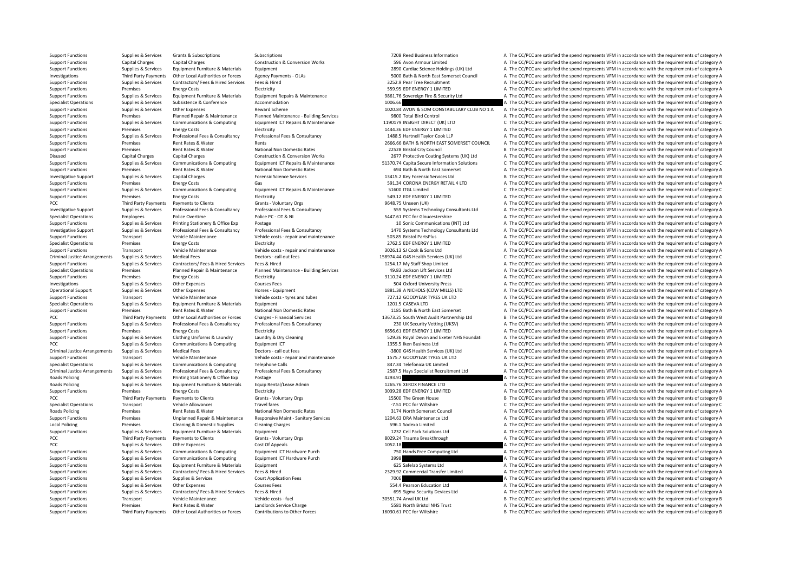Support Functions Third Party Payments Other Local Authorities or Forces Contributions to Other Forces contributions of other Forces and the Support Function of Delay and the Support Functions of category B The CC/PCC are

Support Functions Supplies & Services Grants & Subscriptions Subscriptions Subscriptions Subscriptions 7208 Reed Business Information A The CC/PCC are satisfied the spend represents VFM in accordance with the requirements Support Functions Capital Charges Capital Charges Construction & Conversion Works 596 Avon Armour Limited A The CC/PCC are satisfied the spend represents VFM in accordance with the requirements of category A Support Functions Supplies & Services Equipment Furniture & Materials Equipment 2890 Cardiac Science Holdings (UK) Ltd A The CC/PCC are satisfied the spend represents VFM in accordance with the requirements of category A Investigations Third Party Payments Other Local Authorities or Forces Agency Payments - OLAs 5000 Bath & North East Somerset Council and The CC/PCC are satisfied the spend represents VFM in accordance with the requirements Support Functions Support Functions Support Functions of Contractors/ Fees & Hired Services Fees & Hired Services Fees & Hired Services Fees & Hired Services Fees & Hired Services Fees & Hired Services Fees & Hired Service Support Functions Premises Energy Costs Electricity Electricity SS9.95 EDF ENERGY 1 LIMITED A The CC/PCC are satisfied the spend represents VFM in accordance with the requirements of category A Support Functions Supplies & Services Equipment Furniture & Materials Equipment Repairs & Maintenance 3861.76 Sovereign Fire & Security Ltd A The CC/PCC are satisfied the spend represents VFM in accordance with the require Specialist Operations Subsistence Subsistence Subsistence Accommodation Accommodation 1006.66 A The CC/PCC are satisfied the spend represents VFM in accordance with the requirements of category A Support Functions Supplies & Services Other Expenses Reward Scheme 1020.84 AVON & SOM CONSTABULARY CLUB NO 1 A The CC/PCC are satisfied the spend represents VFM in accordance with the requirements of category A Support Functions Premises Planned Repair & Maintenance Planned Maintenance Building Services 9800 Total Bird Control A The CC/PCC are satisfied the spend represents VFM in accordance with the requirements of category A Supplies & Services Communications & Computing Equipment ICT Repairs & Maintenance 1190179 INSIGHT DIRECT (UK) LTD C The CC/PCC are satisfied the spend represents VFM in accordance with the requirements of category C<br>Suppo Support Functions Premises Energy Costs Electricity Electricity 1444.36 EDF ENERGY 1 LIMITED A The CC/PCC are satisfied the spend represents VFM in accordance with the requirements of category A Supplies & Services Professional Fees & Consultancy Professional Fees & Consultancy Professional Fees & Consultancy Professional Fees & Consultancy 1488.5 Harthell Taylor Cook LLP A The CC/PCC are satisfied the spend repre Support Functions Premises Rent Rates & Water Rents Rents Rents Rents 2666.66 BATH & NORTH EAST SOMERSET COUNCIL A The CC/PCC are satisfied the spend represents VFM in accordance with the requirements of category A Support Functions Premises Rent Rates & Water National Non Domestic Rates 22528 Bristol City Council B The CC/PCC are satisfied the spend represents VFM in accordance with the requirements of category B Disused Capital Charges Capital Charges Construction & Conversion Works 2677 Protective Coating Systems (UK) Ltd A The CC/PCC are satisfied the spend represents VFM in accordance with the requirements of category A Supplies & Services Communications & Computing Equipment ICT Repairs & Maintenance 51370.74 Capita Secure Information Solutions C The CC/PCC are satisfied the spend represents VFM in accordance with the requirements of cat Support Functions Premises Rent Rates & Water National Non Domestic Rates 694 Bath & North East Somerset A The CC/PCC are satisfied the spend represents VFM in accordance with the requirements of category A Investigative Support Support Support Support Capital Charges Capital Charges Forensic Science Services 13415.2 Key Forensic Services Ltd B The CC/PCC are satisfied the spend represents VFM in accordance with the requireme Support Functions Premises Premises Energy Costs Gas Gas Gas Gas Support Functions Gas 591.34 CORONA ENERGY RETAIL 4 LTD A The CC/PCC are satisfied the spend represents VFM in accordance with the requirements of category A S1600 ITGL Limited<br>Support Functions Communications Computing Computing Computing Equipment ICT Repairs & Computer Supplies A The<br>A The CC/PCC are satisfied the spend represents VFM in accordance with the requirements of c Support Functions Premises Energy Costs Functions Electricity Energy Costs Electricity Functions and the spend represents VFM in accordance with the requirements of category A PCC Third Party Payments Payments to Clients Grants - Voluntary Orgs Server A The CC/PCC are satisfied the spend represents VFM in accordance with the requirements of category A Investigative Support Supplies & Services Professional Fees & Consultancy Professional Fees & Consultancy Professional Fees & Consultancy Professional Fees & Consultancy S59 Systems Technology Consultants Ltd A The CC/PCC Employees Police Overtime Police PC · OT & NI 5447.61 PCC for Gloucestershire A The CC/PCC are satisfied the spend represents VFM in accordance with the requirements of category A The CC/PC are satisfied the spend represen Support Functions Supplies & Services Printing Stationery & Office Exp Postage 10 Sonic Communications (INT) Ltd A The CC/PCC are satisfied the spend represents VFM in accordance with the requirements of category A Investigative Support Support Support Supporters Supporters Professional Fees & Consultancy Professional Fees & Consultancy Professional Fees & Consultancy Consultancy 1470 Systems Technology Consultants Ltd A The CC/PCC a Support Functions Transport Vehicle Maintenance Vehicle costs – repair and maintenance Support Transport and the CC/PCC are satisfied the spend represents VFM in accordance with the requirements of category A The CC/PC are A The CC/PCC are satisfied the spend represents VFM in accordance with the requirements of category A Support Functions Transport Vehicle Maintenance Vehicle costs - repair and maintenance 3026.13 SJ Cook & Sons Ltd A The CC/PCC are satisfied the spend represents VFM in accordance with the requirements of category A Criminal Justice Arrangements Supplies & Services Medical Fees Doctors - call out fees Next and the Second Doctors Call out fees 158974.44 G45 Health Services (UK) Ltd C The CC/PCC are satisfied the spend represents VFM in Support Functions Supplies & Services Contractors/ Fees & Hired Services Fees & Hired Fees & Hired 1254.17 My Staff Shop Limited A The CC/PCC are satisfied the spend represents VFM in accordance with the requirements of ca A The CC/PCC are satisfied the spend represents VFM in accordance with the requirements of category A Support Functions Premises Energy Costs Electricity Electricity and the COST ENERGY 1 LIMITED A The CC/PCC are satisfied the spend represents VFM in accordance with the requirements of category A Investigations Supplies & Services Other Expenses Courses Fees Supplies and Courses Fees 504 Oxford University Press A The CC/PCC are satisfied the spend represents VFM in accordance with the requirements of category A Operational Support Supplies & Services Other Expenses And Horses - Equipment Horses Faquipment 1881.38 A NICHOLS (COW MILLS) LTD A The CC/PCC are satisfied the spend represents VFM in accordance with the requirements of c Support Functions Transport Vehicle Maintenance Vehicle costs – tyres and tubes 727.12 GOODYEAR TYRES UK LTD A The CC/PCC are satisfied the spend represents VFM in accordance with the requirements of category A Specialist Operations Supplies & Services Equipment Furniture & Materials Equipment Equipment Equipment Equipment and the COVEC are satisfied the spend represents VFM in accordance with the requirements of category A The C Support Functions Premises Rent Rates & Water National Non Domestic Rates 1185 Bath & North East Somerset A The CC/PCC are satisfied the spend represents VFM in accordance with the requirements of category A Third Party Payments Other Local Authorities or Forces Charges - Financial Services hanges in the state of the state of the state of the state of the state of the state of a tegony B The CC/PCC are satisfied the spend repr Support Functions Supplies & Services Professional Fees & Consultancy Professional Fees & Consultancy Professional Fees & Consultancy Professional Fees & Consultancy 230 UK Security Vetting (UKSV) A The CC/PCC are satisfie Energy Costs Energy Costs Electricity Electricity Electricity Electricity Electricity Electricity and the content of category A The CC/PCC are satisfied the spend represents VFM in accordance with the requirements of categ Supplier & Services Supplier Clothing Uniforms & Laundry and Developme Clothing Uniforms & Laundry Mundow Dry Cleaning and Exeric S29.36 Royal Devon and Exerer NHS Foundati A The CC/PCC are satisfied the spend represents V PCC Supplies & Supplies & Services Communications & Computing Equipment ICT 1355.5 Iken Business Ltd A The CC/PCC are satisfied the spend represents VFM in accordance with the requirements of category A Criminal Justice Arrangements Supplies & Services Medical Fees Doctors - call out fees Doctors • call out fees<br>
Vehicle costs - repair and maintenance A The COVEAR THES UKLID A The CC/PCC are satisfied the spend represents Transport Vehicle Maintenance Vehicle costs ‐ repair and maintenance 1575.7 GOODYEAR TYRES UK LTD A The CC/PCC are satisfied the spend represents VFM in accordance with the requirements of category A Specialist Operations Supplies & Services Communications & Computing Telephone Calls 847.34 Telefonica UK Limited A The CC/PCC are satisfied the spend represents VFM in accordance with the requirements of category A Criminal Justice Arrangements Supplies & Services Professional Fees & Consultancy Professional Fees & Consultancy Professional Fees & Consultancy Professional Fees & Consultancy Professional Fees & Consultancy Materia 2587 Roads Policing Supplies Supplies & Services Printing Stationery & Office Eye Postage 4294.90 A The CC/PC are satisfied the spend represents VFM in accordance with the requirements of category A Roads Policing Supplies & Services Equipment Furniture & Materials Equip Rental/Lease Admin 1265.76 XEROX FINANCE LTD A The CC/PCC are satisfied the spend represents VFM in accordance with the requirements of category A Support Functions Premises Energy Costs Electricity Electricity and the COSTS EDF ENERGY 1 LIMITED A The CC/PCC are satisfied the spend represents VFM in accordance with the requirements of category A PCC Third Party Payments Payments of Clients Grants - Voluntary Orgs Grants - Voluntary Orgs 15500 The Green House B The CC/PCC are satisfied the spend represents VFM in accordance with the requirements of category B The C Specialist Operations Transport Vehicle Allowances Travel fares Travel fares and the COLOGIC The CC/PCC are satisfied the spend represents VFM in accordance with the requirements of category C The CC/PCC are satisfied the Roads Policing Premises Rent Rates & Water National Non Domestic Rates 3174 North Somerset Council A The CC/PCC are satisfied the spend represents VFM in accordance with the requirements of category A Support Functions Premises Unplanned Repair & Maintenance Responsive Maint - Sanitary Services 1204.63 DRA Maintenance Ltd A The CC/PCC are satisfied the spend represents VFM in accordance with the requirements of category Local Policing Premises Cleaning & Domestic Supplies Cleaning Charges Cleaning Charges Cleaning Charges Cleaning Charges 596.1 Sodexo Limited A The CC/PCC are satisfied the spend represents VFM in accordance with the requi Support Functions Supplies & Services Equipment Europeiance Materials Equipment 1232 Cell Pack Solutions Ltd A The CC/PCC are satisfied the spend represents VFM in accordance with the requirements of category A PCC Third Party Payments Payments to Clients Grants - Voluntary Orgs and the Subsection Category A The CC/PCC are satisfied the spend represents VFM in accordance with the requirements of category A The CC/PCC are satisfie PCC PCC Approximations A The CC/PCC are satisfied the spend represents VFM in accordance with the requirements of category A The CC/PCC are satisfied the spend represents VFM in accordance with the requirements of category Support Functions Supplies & Services Communications & Computing Foujoment ICT Hardware Purch 750 Hands Free Computing Ltd A The CC/PCC are satisfied the spend represents VFM in accordance with the requirements of category Support Functions Supplies & Services Communications & Computing Equipment ICT Hardware Purch 3998 3998 A The CC/PCC are satisfied the spend represents VFM in accordance with the requirements of category A Support Functions Supplies & Services Equipment Furniture & Materials Equipment Equipment and the spend of the CC/PCC are satisfied the spend represents VFM in accordance with the requirements of category A The CC/PCC are Support Functions Supplies & Services Contractors/ Fees & Hired Services Fees & Hired 2329.92 Commercial Transfer Limited A The CC/PCC are satisfied the spend represents VFM in accordance with the requirements of category Support Functions Supplies & Services Supplies & Services Court Application Fees 7006 7006 A The CC/PCC are satisfied the spend represents VFM in accordance with the requirements of category A Support Functions Supplies & Services Other Expenses Courses Fees Courses Fees Courses Fees 554.4 Pearson Education Ltd A The CC/PCC are satisfied the spend represents VFM in accordance with the requirements of category A A The CC/PCC are satisfied the spend represents VFM in accordance with the requirements of category A Support Functions Transport Vehicle Maintenance Vehicle costs – fuel 30551.74 Arval UK Ltd B The CC/PCC are satisfied the spend represents VFM in accordance with the requirements of category B Support Functions Premises Rent Rates & Water Landlords Service Charge 1999 and the SESS1 North Bristol NHS Trust A The CC/PCC are satisfied the spend represents VFM in accordance with the requirements of category A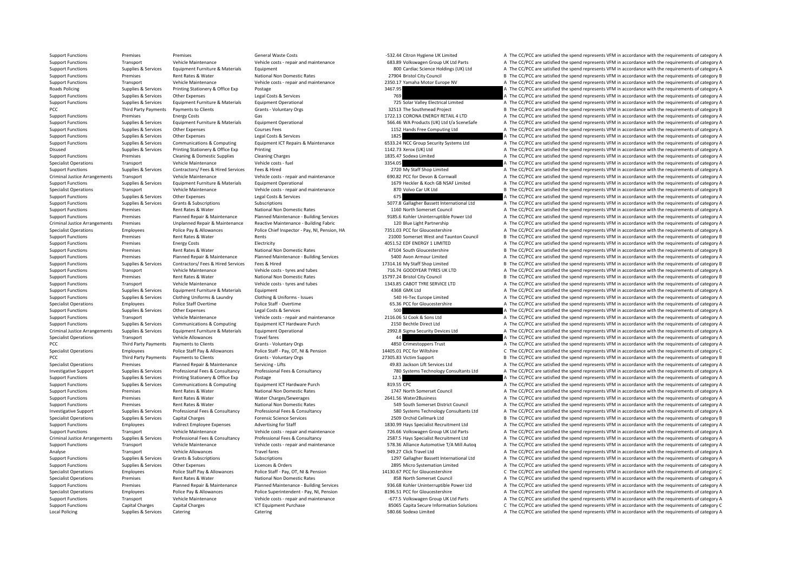Support Functions Premises Premises Premises Costs General Waste Costs – Fall and the Same Costs – Fall and the requirements of category A The CC/PCC are satisfied the spend represents VFM in accordance with the requiremen Support Functions Transport Vehicle Maintenance Vehicle costs - repair and maintenance Vehicle costs - repair and maintenance Support Function of the CC/PCC are satisfied the spend represents VFM in accordance with the req Support Functions Supplies & Services Equipment Furniture & Materials Equipment and Support Equipment and Support Functions and A The CC/PCC are satisfied the spend represents VFM in accordance with the requirements of cat Support Functions Premises Rent Rates & Water National Non Domestic Rates National Non Domestic Rates Rent Rates Rent Rates Rent Rates Rent Rates Rent Rates Rent Rates Rent Rates Rent Rates Rent Rates Rent Rates Rent Rates Transport Vehicle Maintenance Vehicle costs ‐ repair and maintenance 2350.17 Yamaha Motor Europe NV A The CC/PCC are satisfied the spend represents VFM in accordance with the requirements of category A Roads Policing Supplies & Services Printing Stationery & Office Exp Postage 3467.95 3467.95 A The CC/PCC are satisfied the spend represents VFM in accordance with the requirements of category A Support Functions Supplies & Services Other Expenses Legal Costs & Services Legal Costs & Services Legal Costs & Services 75 A The CC/PCC are satisfied the spend represents VFM in accordance with the requirements of catego Suppliers & Services Foundment Furniture & Materials Foundment Departional Equipment Operational Fund Development Departional 275 Solar Valley Electrical Limited A The CC/PCC are satisfied the spend represents VFM in accor PCC Third Party Payments Payments to Clients Scratts Voluntary Orgs 32513 The Southmead Project B The CC/PCC are satisfied the spend represents VFM in accordance with the requirements of category B Support Functions Premises Functions Premises Functions Premises Energy Costs Gas Gas 1722.13 CORONA ENERGY RETAIL 4 LTD A The CC/PCC are satisfied the spend represents VFM in accordance with the requirements of category A Support Functions Supplies & Services Equipment Furniture & Materials Equipment Operational Equipment Operational support Support (UK) Ltd t/a SceneSafe A The CC/PCC are satisfied the spend represents VFM in accordance wit Support Functions Support Courses Courses Courses Fees Courses Fees 1152 Hands Free Computing Ltd A The CC/PCC are satisfied the spend represents VFM in accordance with the requirements of category A Support Functions Supplies & Services Other Expenses Legal Costs & Services Legal Costs & Services 1825 A The CC/PCC are satisfied the spend represents VFM in accordance with the requirements of category A Support Functions Supplies & Services Communications & Computing Equipment ICT Repairs & Maintenance 6533.24 NCC Group Security Systems Ltd A The CC/PCC are satisfied the spend represents VFM in accordance with the require Disused Supplies & Services Printing Stationery & Office Exp Printing 1142.73 Xerox (UK) Ltd A The CC/PCC are satisfied the spend represents VFM in accordance with the requirements of category A Support Functions Premises Cleaning & Domestic Supplies Cleaning Charges Cleaning Charges 1835.47 Sodexo Limited A The CC/PCC are satisfied the spend represents VFM in accordance with the requirements of category A Specialist Operations Transport Vehicle Maintenance Vehicle costs - fuel Vehicle costs - fuel and the second are and the CC/PCC are satisfied the spend represents VFM in accordance with the requirements of category A The C Support Functions Supplies & Services Contractors/ Fees & Hired Services Fees & Hired Price Fees A Hired 2720 My Staff Shop Limited A The CC/PCC are satisfied the spend represents VFM in accordance with the requirements of Criminal Justice Arrangements Transport Vehicle Maintenance Vehicle Costs - repair and maintenance Vehicle costs - repair and maintenance of the CODE of Devon & Cornwall A The CC/PCC are satisfied the spend represents VFM Supplies & Supplies & Services Equipment Furniture & Materials Equipment Operational equipment Operational and the state of the CONSC ACC/PCC are satisfied the spend represents VFM in accordance with the requirements of ca Transport Vehicle Maintenance Vehicle costs - repair and maintenance 870 Volvo Car UK Itd B The CC/PCC are satisfied the spend represents VFM in accordance with the requirements of category B Support Functions Supplies & Services Other Expenses Legal Costs & Services Costs & Services Costs & Services Costs & Services 675 A The CC/PCC are satisfied the spend represents VFM in accordance with the requirements of Support Functions Supplies & Services Grants & Subscriptions Subscriptions Subscriptions Subscriptions Subscriptions Subscriptions Subscriptions Subscriptions Subscriptions Subscriptions Subscriptions Subscriptions Subscri Support Functions Premises Rent Rates & Water National Non Domestic Rates National Non Domestic Rates 1160 North Somerset Council A The CC/PCC are satisfied the spend represents VFM in accordance with the requirements of c Planned Repair & Maintenance Planned Maintenance Building Services 19985.6 Kohler Uninterruptible Power Ltd A The CC/PCC are satisfied the spend represents VFM in accordance with the requirements of category A Criminal lustice Arrangements Premises Senator Maintenance Reactive Maintenance - Ruilding Fabric 100 Rue Light Partnershin A The CC/PCC are satisfied the spend represents VFM in accordance with the requirements of categor Specialist Operations Employees Police Pay & Allowances Police Chief Inspector - Pay, NJ. Pension, HA 7351.03 PCC for Gloucestershire A The CC/PCC are satisfied the spend represents VFM in accordance with the requirements Support Functions Premises Rent Rates & Water Rents Rents Rents Rents Rents Rents Rents 2000 Somerset West and Taunton Council B The CC/PCC are satisfied the spend represents VFM in accordance with the requirements of cate A The CC/PCC are satisfied the spend represents VFM in accordance with the requirements of category A Support Functions Premises Rent Rates & Water National Non Domestic Rates 47104 South Gloucestershire B The CC/PCC are satisfied the spend represents VFM in accordance with the requirements of category B Support Functions Premises Planned Repair & Maintenance Planned Maintenance - Building Services 5400 Avon Armour Limited A The CC/PCC are satisfied the spend represents VFM in accordance with the requirements of category A Support Functions Supplies & Services Contractors/ Fees & Hired Services Fees & Hired Fees & Hired Services Fees & Hired 17314.16 My Staff Shop Limited B The CC/PCC are satisfied the spend represents VFM in accordance with Transport Vehicle Maintenance Vehicle costs ‐ tyres and tubes 716.74 GOODYEAR TYRES UK LTD A The CC/PCC are satisfied the spend represents VFM in accordance with the requirements of category A Support Functions Premises Rent Rates & Water National Non Domestic Rates 1579.24 Bristol City Council B The CC/PCC are satisfied the spend represents VFM in accordance with the requirements of category B<br>Support Functions Support Functions Transport Vehicle Maintenance Vehicle costs – tyres and tubes 1343.85 CABOT TYRE SERVICE LTD A The CC/PCC are satisfied the spend represents VFM in accordance with the requirements of category A Support Functions Supplies & Services Equipment Furniture & Materials Equipment A The CC/PCC are satisfied the spend represents VFM in accordance with the requirements of category A Support Functions Supplies & Services Clothing Uniforms & Laundry Clothing & Uniforms - Issues 540 Hi–Tec Europe Limited A The CC/PCC are satisfied the spend represents VFM in accordance with the requirements of category A Specialist Operations Employees Police Staff Overtime Police Staff - Overtime Police Staff - Overtime Police Staff - Overtime A The CC/PCC are satisfied the spend represents VFM in accordance with the requirements of categ Support Functions Supplies & Services Other Expenses Legal Costs & Services 500 500 A The CC/PCC are satisfied the spend represents VFM in accordance with the requirements of category A Support Functions Transport Vehicle Maintenance Vehicle costs - repair and maintenance 2116.06 SJ Cook & Sons Ltd A The CC/PCC are satisfied the spend represents VFM in accordance with the requirements of category A Support Functions Supplies & Services Communications & Computing Equipment ICT Hardware Purch 2150 Bechtle Direct Ltd A The CC/PCC are satisfied the spend represents VFM in accordance with the requirements of category A Cr A The CC/PCC are satisfied the spend represents VFM in accordance with the requirements of category A Specialist Operations Transport Vehicle Allowances Travel fares Travel fares and the spend of category A The CC/PCC are satisfied the spend represents VFM in accordance with the requirements of category A PCC Third Party Payments Payments to Clients Grants - Voluntary Orgs 4850 Crimestoppers Trust A The CC/PCC are satisfied the spend represents VFM in accordance with the requirements of category A Specialist Operations Employees Employees Police Staff Pay & Allowances Police Staff - Pay, OT, NI & Pension 14405.01 PCC for Wiltshire CONSIDER CORPOC are satisfied the spend represents VFM in accordance with the requirem PCC Third Party Payments Payments to Clients Grants - Voluntary Orgs 27305.83 Victim Support B The CC/PCC are satisfied the spend represents VFM in accordance with the requirements of category B Specialist Operations Premises Planned Repair & Maintenance Servicing - Lifts 49.83 Jackson Lift Services Ltd A The CC/PCC are satisfied the spend represents VFM in accordance with the requirements of category A Investigative Support Supplies & Services Professional Fees & Consultancy Professional Fees & Consultancy Professional Fees & Consultancy Professional Fees & Consultancy Materia Table 780 Systems Technology Consultants Ltd Support Functions Supplies Services Printing Stationery & Office Eye Postage 12.5 A The CC/PC are satisfied the spend represents VFM in accordance with the requirements of category A Support Functions Supplies & Services Communications & Computing Equipment ICT Hardware Purch 819.55 CPC A The CC/PCC are satisfied the spend represents VFM in accordance with the requirements of category A Support Functions Premises Rent Rates & Water National Non Domestic Rates 1747 North Somerset Council A The CC/PCC are satisfied the spend represents VFM in accordance with the requirements of category A Support Functions Premises Rent Rates & Water Water Charges/Sewerages 2641.56 Water2Business A The CC/PCC are satisfied the spend represents VFM in accordance with the requirements of category A The results and the result Support Functions Support Premises Rent Rates Rent Rates National Non Domestic Rates 549 South Somerset District Council A The CC/PCC are satisfied the spend represents VFM in accordance with the requirements of category A Investigative Support Supplies & Services Professional Fees & Consultancy Professional Fees & Consultancy Professional Fees & Consultancy Professional Fees & Consultancy Materaty S80 Systems Technology Consultants Ltd A Th Specialist Operations Supplies & Services Capital Charges Forensic Science Services Forensic Science Services 2509 Orchid Cellmark Ltd B The CC/PCC are satisfied the spend represents VFM in accordance with the requirements Support Functions Employees Indirect Employee Expenses Advertising for Staff 1830.99 Hays Specialist Recruitment Ltd A The CC/PCC are satisfied the spend represents VFM in accordance with the requirements of category A Support Functions Transport Vabicle Maintenance Vabic Vabic Construct Constrained Vabic Constrained Vabic Constrained Vabic Constrained The Collect Constraint Construct International The CODC are satisfied the constrained Criminal Justice Arrangements Supplies & Services Professional Fees & Consultancy Professional Fees & Consultancy Professional Fees & Consultancy Professional Fees & Consultancy Professional Fees & Consultancy Materia 2587 Experiment Support Europe Transport Vehicle Maintenance Mehicle Costs - repair and maintenance ST8.36 Alliance Automotive T/A Mill Autoq A The CC/PCC are satisfied the spend represents VFM in accordance with the requiremen Analyse Transport Vehicle Allowances Travel fares Travel fares 949.27 Click Travel Ltd A The CC/PCC are satisfied the spend represents VFM in accordance with the requirements of category A Support Functions Supplies & Services Grants & Subscriptions Subscriptions Subscriptions 1297 Gallagher Bassett International Ltd A The CC/PCC are satisfied the spend represents VFM in accordance with the requirements of c Support Functions Supplies & Services Other Expenses Licences & Orders Licences & Orders 2895 Micro Systemation Limited A The CC/PCC are satisfied the spend represents VFM in accordance with the requirements of category A Specialist Operations Employees Police Staff Pay & Allowances Police Staff - Pay, OT, NI & Pension 14130.67 PCC for Gloucestershire C The CC/PCC are satisfied the spend represents VFM in accordance with the requirements of Specialist Operations Premises Rent Rates & Water National Non Domestic Rates 858 North Somerset Council A The CC/PCC are satisfied the spend represents VFM in accordance with the requirements of category A Support Functions Premises Planned Repair & Maintenance Planned Maintenance Building Services 936.68 Kohler Uninterruptible Power Ltd A The CC/PCC are satisfied the spend represents VFM in accordance with the requirements 196.51 PCC for Gloucestershire and the CC/PCC are satisfied the spend represents VFM in accordance with the requirements of category A<br>671.5 Volkswagen Group UK Itd Parts A The CC/PCC are satisfied the spend represents VFM Support Functions Transport Vehicle Maintenance Vehicle costs - repair and maintenance Vehicle costs repair and maintenance C-677.5 Volkswagen Groun UK I td Parts A The CC/PCC are satisfied the spend represents VFM in acco Support Functions Capital Charges Capital Charges ICT Equipment Purchase 85065 Capita Secure Information Solutions C The CC/PCC are satisfied the spend represents VFM in accordance with the requirements of category C Local Policing Supplies & Services Catering Catering Catering Catering Catering Catering Catering Catering Catering Catering Catering Supplies and Supplies & Services Category A The CC/PCC are satisfied the spend represent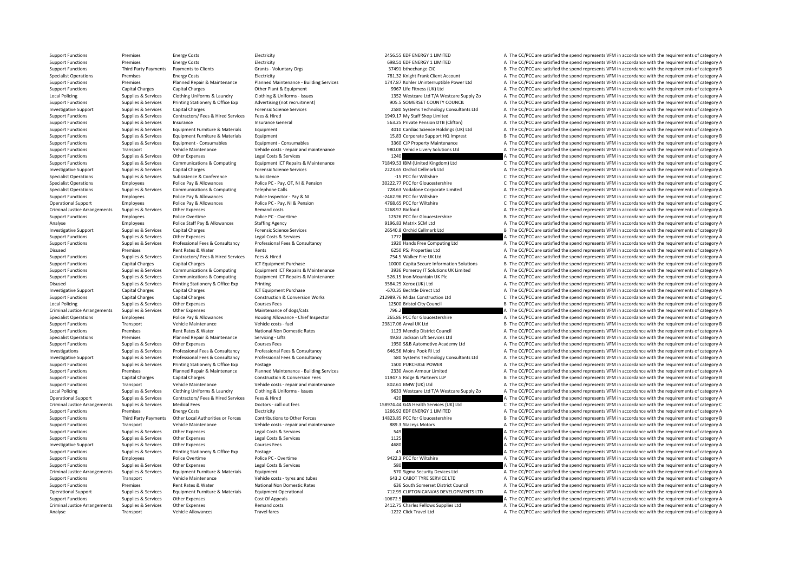Analyse Transport Vehicle Allowances Travel fares Travel fares and A The CC/PCC are satisfied the spend represents VFM in accordance with the requirements of category A

Support Functions Premises Energy Costs Electricity Electricity and the COSTS EDF ENERGY 1 LIMITED A The CC/PCC are satisfied the spend represents VFM in accordance with the requirements of category A Support Functions Premises Energy Costs Electricity Electricity and the COSTS EDF ENERGY 1 LIMITED A The CC/PCC are satisfied the spend represents VFM in accordance with the requirements of category A Support Functions Third Party Payments Payments to Clients Grants Voluntary Orgs 37491 bthechange CIC B The CC/PCC are satisfied the spend represents VFM in accordance with the requirements of category B Specialist Operations Premises Energy Costs Electricity Electricity Electricity Frank Client Trank Client Account A The CC/PCC are satisfied the spend represents VFM in accordance with the requirements of category A The Co Planned Repair & Maintenance Planned Maintenance Building Services 1747.87 Kohler Uninterruptible Power Ltd A The CC/PCC are satisfied the spend represents VFM in accordance with the requirements of category A Support Functions Capital Charges Capital Charges Capital Charges Other Plant & Equipment Other Plant & Equipment<br>
9967 Life Fitness (UK) Ltd A Vestcare Many 2006 a The CC/PCC are satisfied the spend represents VFM in acco Local Policing Supplies & Supplies & Services Clothing Uniforms & Laundry Clothing & Uniforms - Issues Clothing Minister and Collection of the CONNET CONNET CONNET CONNET A The CC/PCC are satisfied the spend represents VFM Suppliers & Services Printing Stationery & Office Exp Advertising (not recruitment) 905.5 SOMERSET COUNTY COUNCIL A The CC/PCC are satisfied the spend represents VEM in accordance with the requirements of category A Investigative Support Support Support Support Capital Charges Capital Charges Capital Charges Forensic Science Services Forensic Science Services and David 2580 Systems Technology Consultants Ltd A The CC/PCC are satisfied Support Functions Supplies & Services Contractors/ Fees & Hired Fees & Hired 1949.17 My Staff Shop Limited A The CC/PCC are satisfied the spend represents VFM in accordance with the requirements of category A Support Functions Supplies & Services Insurance European Insurance General Support The CONSTANT CONSTANT A The CC/PCC are satisfied the spend represents VFM in accordance with the requirements of category A The Crime A The Support Functions Supplies & Services Equipment Functions Materials Equipment 4010 Cardiac Science Holdings (UK) Ltd A The CC/PCC are satisfied the spend represents VFM in accordance with the requirements of category A Support Functions Supplies & Services Equipment Furniture & Materials Equipment Equipment Equipment and the Support HQ Imprest B The CC/PCC are satisfied the spend represents VFM in accordance with the requirements of cate Support Functions Supplies & Services Equipment - Consumables Equipment - Consumables Equipment - Consumables Equipment - Consumables a Consumables and the COV Property Maintenance A The CC/PCC are satisfied the spend repr Support Functions Transport Vehicle Maintenance Vehicle costs - repair and maintenance 980.08 Vehicle Livery Solutions Ltd A The CC/PCC are satisfied the spend represents VFM in accordance with the requirements of category Support Functions Supplies & Services Other Expenses Legal Costs & Services Legal Costs & Services Legal Costs & Services 1240 A The CC/PCC are satisfied the spend represents VFM in accordance with the requirements of cate Supplies & Services Communications & Computing Equipment ICT Repairs & Maintenance 71849.53 IBM (United Kingdom) Ltd C The CC/PCC are satisfied the spend represents VFM in accordance with the requirements of category C Investigative Support Supplies & Services Capital Charges Capital Charges Forensic Science Services 2223.65 Orchid Cellmark Ltd A The CC/PCC are satisfied the spend represents VFM in accordance with the requirements of cat Specialist Operations Supplies & Services Subsistence Subsistence Subsistence Subsistence Subsistence Subsistence Subsistence C The CC/PCC are satisfied the spend represents VFM in accordance with the requirements of categ Specialist Operations Employees Police Pay & Allowances Police PC - Pay, OT, NI & Pension 30222.77 PCC for Gloucestershire C The CC/PCC are satisfied the spend represents VFM in accordance with the requirements of category Specialist Operations Supplies & Services Communications & Computing Telephone Calls 728.63 Vodafone Corporate Limited A The CC/PCC are satisfied the spend represents VFM in accordance with the requirements of category A Support Functions Employees Police Pay & Allowances Police Inspector - Pay & NI – 2462.96 PCC for Wiltshire – C The CC/PCC are satisfied the spend represents VFM in accordance with the requirements of category C Operational Support Employees Police Pay & Allowances Police PC - Pay, NI & Pension 4768.65 PCC for Wiltshire C The CC/PCC are satisfied the spend represents VFM in accordance with the requirements of category C Criminal Justice Arrangements Supplies & Services Other Expenses A The Mand costs Remand costs Remand costs Remand costs 1268.97 Bidfood A The CC/PCC are satisfied the spend represents VFM in accordance with the requiremen B The CC/PCC are satisfied the spend represents VFM in accordance with the requirements of category B Folice Staff Pay & Allowances Staffing Agency 9196.83 Matrix SCM Ltd A The CC/PCC are satisfied the spend represents VFM in accordance with the requirements of category A The CC/PC are satisfied the spend represents VFM in Investigative Support Supplies & Services Capital Charges Processive Capital Charges Processive Services 26540.8 Orchid Cellmark Ltd B The CC/PCC are satisfied the spend represents VFM in accordance with the requirements o Support Functions Supplies & Services Other Expenses Legal Costs & Services Support Costs are and the services Legal Costs & Services 1772 A The CC/PCC are satisfied the spend represents VFM in accordance with the requirem A The CC/PCC are satisfied the spend represents VFM in accordance with the requirements of category A Disused Premises Rent Rates & Water Rents Rents Rents Rents Rents A The CC/PCC are satisfied the spend represents VFM in accordance with the requirements of category A Support Functions Supplies & Services Contractors/ Fees & Hired Services Fees & Hired Services Fees & Hired 754.5 Walker Fire UK Ltd A The CC/PCC are satisfied the spend represents VFM in accordance with the requirements o Support Functions Capital Charges Capital Charges Capital Charges ICT Equipment Purchase 10000 Capita Secure Information Solutions B The CC/PCC are satisfied the spend represents VFM in accordance with the requirements of A The CC/PCC are satisfied the spend represents VFM in accordance with the requirements of category A Supplies Supplies & Services Communications & Computing Equipment ICT Repairs & Maintenance 526.15 Iron Mountain UK Plc Are CC/PCC are satisfied the spend represents VFM in accordance with the requirements of category A<br>Di Supplies & Services Printing Stationery & Office Exp Printing 2002 3584.25 Xerox (UK) Ltd 3584.25 Xerox (UK) Ltd A The CC/PCC are satisfied the spend represents VFM in accordance with the requirements of category A Investigative Support Capital Charges Capital Charges ICT Equipment Purchase ‐670.35 Bechtle Direct Ltd A The CC/PCC are satisfied the spend represents VFM in accordance with the requirements of category A Support Functions Capital Charges Capital Charges Construction & Conversion Works 212989.76 Midas Construction Ltd C The CC/PCC are satisfied the spend represents VFM in accordance with the requirements of category C Local Policing Supplies & Services Other Expenses Courses Fees Courses Fees 12500 Bristol City Council B The CC/PCC are satisfied the spend represents VFM in accordance with the requirements of category B Criminal Justice Arrangements Supplies & Services Other Expenses Maintenance of dogs/cats Maintenance of dogs/cats 796.2 796.2 A The CC/PCC are satisfied the spend represents VFM in accordance with the requirements of cate Specialist Operations Employees Police Pay & Allowances Housing Allowance - Chief Inspector 265.86 PCC for Gloucestershire A The CC/PCC are satisfied the spend represents VFM in accordance with the requirements of category Support Functions Transport Vehicle Maintenance Vehicle costs – fuel Vehicle Costs – fuel 23817.06 Arval UK Ltd B The CC/PCC are satisfied the spend represents VFM in accordance with the requirements of category B The Crit Support Functions Premises Rent Rates Rent Rates Rent Rational Non Domestic Rates 1123 Mendip District Council A The CC/PCC are satisfied the spend represents VFM in accordance with the requirements of category A The Crite Specialist Operations Premises Planned Repair & Maintenance Servicing - Lifts 49.83 Jackson Lift Services Ltd A The CC/PCC are satisfied the spend represents VFM in accordance with the requirements of category A Support Functions Supplies & Services Other Expenses Courses Fees Courses Fees 1950 S&B Automotive Academy Ltd A The CC/PCC are satisfied the spend represents VFM in accordance with the requirements of category A Investigations Supplies & Supplies & Services Professional Fees & Consultancy Professional Fees & Consultancy Professional Fees & Consultancy Professional Fees & Consultancy Professional Fees & Consultancy Professional Fee A The CC/PCC are satisfied the spend represents VFM in accordance with the requirements of category A Support Functions Supplies & Services Printing Stationery & Office Exp Postage 1500 PURCHASE POWER 1500 PURCHASE POWER A The CC/PCC are satisfied the spend represents VFM in accordance with the requirements of category A Support Functions Premises Planned Repair & Maintenance Planned Maintenance - Building Services 2330 Avon Armour Limited A The CC/PCC are satisfied the spend represents VFM in accordance with the requirements of category A Support Functions Capital Charges Capital Charges Construction & Conversion Fees 11947.5 Ridge & Partners LLP B The CC/PCC are satisfied the spend represents VFM in accordance with the requirements of category B Support Functions Transport Vehicle Maintenance Vehicle costs - repair and maintenance 802.61 BMW (UK) Ltd A The CC/PCC are satisfied the spend represents VFM in accordance with the requirements of category A Supplies & Services Clothing Uniforms & Laundry Clothing & Uniforms - Issues 9633 Westcare Ltd T/A Westcare Supply Zo A The CC/PCC are satisfied the spend represents VFM in accordance with the requirements of category A Operational Support Supplies & Services Contractors/ Fees & Hired Services Fees & Hired 420 A The CC/PCC are satisfied the spend represents VFM in accordance with the requirements of category A The critical support of the Criminal lustice Arrangements Sumlice & Sanires Medical Fees Doctors call out fees Doctors call out fees and case and case and case of case of the COPC are satisfied the specified the specified the specified the specified Support Functions Premises Energy Costs Electricity Electricity 1266.92 EDF ENERGY 1 LIMITED A The CC/PCC are satisfied the spend represents VFM in accordance with the requirements of category A Support Functions Third Party Payments Other Local Authorities or Forces Contributions to Other Forces Continuions of Content Content Dubble Content and the SUSS ASS PCC for Gloucestershire Bile CONCC are satisfied the spe Support Functions Transport Vehicle Maintenance Vehicle costs ‐ repair and maintenance 889.3 Staceys Motors A The CC/PCC are satisfied the spend represents VFM in accordance with the requirements of category A Support Functions Supplies Services Other Expenses Legal Costs & Services 549 A The CC/PC are satisfied the spend represents VFM in accordance with the requirements of category A Support Functions Supplies & Services Other Expenses Legal Costs & Services 1125 A The CC/PCC are satisfied the spend represents VFM in accordance with the requirements of category A Investigative Support Supplies & Services Other Expenses 2017 A Courses Fees 4680 A The CC/PCC are satisfied the spend represents VFM in accordance with the requirements of category A Support Functions Supplies & Services Printing Stationery & Office Exp Postage 45 A The CC/PCC are satisfied the spend represents VFM in accordance with the requirements of category A Support Functions Employees Police Overtime Police PC - Overtime Police PC - Overtime 9422.3 PCC for Wiltshire 9422.3 PCC for Wiltshire A The CC/PCC are satisfied the spend represents VFM in accordance with the requirement Support Functions Supplies & Services Other Expenses Legal Costs & Services Support Control and the Services Legal Costs & Services 580 a The CC/PCC are satisfied the spend represents VFM in accordance with the requirement Criminal Justice Arrangements Supplies & Services Equipment Furniture & Materials Equipment Equipment Equipment<br>
Vehicle Criminal Vehicle Criminal Vehicle Criminal Vehicle Criminal Vehicle Criminal Vehicle Criminal Vehicle Support Functions Transport Vehicle Maintenance Vehicle costs – tyres and tubes 643.2 CABOT TYRE SERVICE LTD A The CC/PCC are satisfied the spend represents VFM in accordance with the requirements of category A Support Functions Premises Premises Rent Rates & Water National Non Domestic Rates National Non Domestic Rates National Non Domestic Rates and the Support A The CC/PCC are satisfied the spend represents VFM in accordance w Equipment Operational Equipment operational and the requirements of category A T12.99 CUFTON CANVAS DEVELOPMENTS LTD<br>Cost Of Anneals cost of Anneals of category A 10672.5 Support Functions Supplies & Services Other Expenses Cost Of Appeals Cost Of Appeals – 10672.5 A The CC/PCC are satisfied the spend represents VFM in accordance with the requirements of category A Criminal Justice Arrangements Supplies & Services Other Expenses Remand costs 2412.75 Charles Fellows Supplies Ltd A The CC/PCC are satisfied the spend represents VFM in accordance with the requirements of category A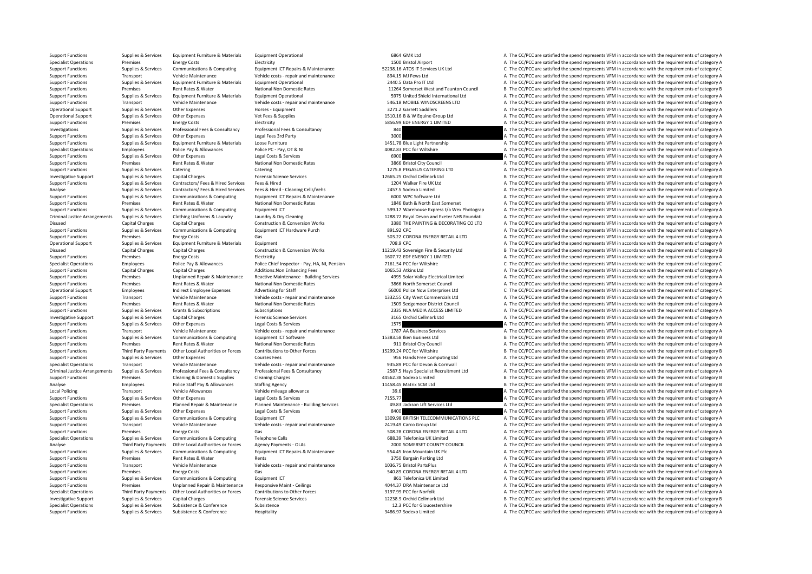Support Functions Supplies & Services Equipment Furniture & Materials Equipment Operational expenditional 6864 GMK Ltd A The CC/PCC are satisfied the spend represents VFM in accordance with the requirements of category A Specialist Operations Premises Energy Costs Electricity Electricity A The CC/PCC are satisfied the spend represents VFM in accordance with the requirements of category A Support Functions Supplies & Services Communications & Computing Equipment ICT Repairs & Maintenance 52238.16 ATOS IT Services UK Ltd C The CC/PCC are satisfied the spend represents VFM in accordance with the requirements Support Functions Transport Vehicle Maintenance Vehicle costs - repair and maintenance 894.15 MJ Fews Ltd A The CC/PCC are satisfied the spend represents VFM in accordance with the requirements of category A The CC/PCC are Support Functions Supplies & Services Equipment Furniture & Materials Equipment Operational 2440.5 Data Pro IT Ltd A The CC/PCC are satisfied the spend represents VFM in accordance with the requirements of category A Support Functions Premises Rent Rates & Water National Non Domestic Rates 11264 Somerset West and Taunton Council B The CC/PCC are satisfied the spend represents VFM in accordance with the requirements of category B Supplies Supplies & Services Equipment Furniture & Materials Equipment Operational Company and the Services Supplies (Supplied Materials Equipment Operational Company and the Service Supplies and the CONCERC are satisfied Support Functions Transport Vehicle Maintenance Vehicle costs ‐ repair and maintenance 546.18 MOBILE WINDSCREENS LTD A The CC/PCC are satisfied the spend represents VFM in accordance with the requirements of category A Operational Support Support Support Support Support Other Expenses Horses Faultoment Horses Faultoment 3271.2 Garrett Saddlers A The CC/PCC are satisfied the spend represents VFM in accordance with the requirements of cate Operational Support Supplies & Services Other Expenses Vet Fees & Supplies Vet Fees A Supplies 1510.16 B & W Equine Group Ltd A The CC/PCC are satisfied the spend represents VFM in accordance with the requirements of categ Support Functions Premises Energy Costs Electricity Electricity and the COSTS EDE ENERGY 1 LIMITED A The CC/PCC are satisfied the spend represents VFM in accordance with the requirements of category A Investigations Supplies Services Professional Fees & Consultancy Professional Fees & Consultancy Professional Fees & Consultancy 840 A The CC/PCC are satisfied the spend represents VFM in accordance with the requirements o Support Functions Supplies & Services Other Expenses Legal Fees 3rd Party and the Support Category A The CC/PCC are satisfied the spend represents VFM in accordance with the requirements of category A The CC/PCC are satisf Support Functions Supplies & Services Equipment Furniture & Materials Loose Furniture 1451.78 Blue Light Partnership A The CC/PCC are satisfied the spend represents VFM in accordance with the requirements of category A Specialist Operations Employees Police Pay & Allowances Police PC - Pay, OT & NI 4082.83 PCC for Wiltshire A The CC/PCC are satisfied the spend represents VFM in accordance with the requirements of category A Support Functions Supplies & Services Other Expenses Legal Costs & Services Support Costs are and the Support Functions of category A The CC/PCC are satisfied the spend represents VFM in accordance with the requirements of Support Functions Premises Rent Rates & Water National Non Domestic Rates 3866 Bristol City Council A The CC/PCC are satisfied the spend represents VFM in accordance with the requirements of category A The Criterions Suppo Support Functions Supplies & Services Catering Catering Catering Catering Catering Catering Catering Catering Catering Catering Catering and the Support Functional Catering Catering Catering Catering Catering 1275.8 PEGASU Investigative Support Support Support Support Capital Charges Capital Charges Forensic Science Services 12665.25 Orchid Cellmark Ltd B The CC/PCC are satisfied the spend represents VFM in accordance with the requirements o Support Functions Supplies & Services Contractors/ Fees & Hired Services Fees & Hired Services Fees & Hired Services Fees & Hired Cleaning Cells/Vehs 2004 Walker Fire UK Ltd A The CC/PCC are satisfied the spend represents Analyse Supplies & Services Contractors/ Fees & Hired Services Fees & Hired - Cleaning Cells/Vehs 2457.5 Sodexo Limited A The CC/PCC are satisfied the spend represents VFM in accordance with the requirements of category A Support Functions Supplies & Services Communications & Computing Foujoment ICT Repairs & Maintenance 6000 WPC Software Ltd A The CC/PCC are satisfied the spend represents VFM in accordance with the requirements of category Support Functions Premises Rent Rates & Water National Non Domestic Rates 1846 Bath A North East Somerset A The CC/PCC are satisfied the spend represents VFM in accordance with the requirements of category A Support Functions Supplies & Services Communications & Computing Equipment ICT Equipment ICT 599.17 Warehouse Express t/a Wex Photograp A The CC/PCC are satisfied the spend represents VFM in accordance with the requirement A The CC/PCC are satisfied the spend represents VFM in accordance with the requirements of category A Capital Charges Capital Charges Construction & Construction & Conversion Works 3380 THE PAINTING & DECORATING CO LTD A The CC/PCC are satisfied the spend represents VFM in accordance with the requirements of category A Support Functions Supplies & Services Communications & Computing Equipment ICT Hardware Purch 891.92 CPC A The CC/PCC are satisfied the spend represents VFM in accordance with the requirements of category A The Cripment of Support Functions Premises Premises Energy Costs Gas Gas Support Content Costs Gas Support Energy Costs Gategory A The CC/PC are satisfied the spend represents VFM in accordance with the requirements of category A The CC/P Equipment The CC/PCC are Satisfied the spend represents VFM in accordance with the requirements of category A Disused Capital Charges Capital Charges Construction & Conversion Works 11219.43 Sovereign Fire & Security Ltd B The CC/PCC are satisfied the spend represents VFM in accordance with the requirements of category B Support Functions Premises Energy Costs Electricity Electricity and the COST. The CC/PCC are satisfied the spend represents VFM in accordance with the requirements of category A Specialist Operations Employees Police Pay & Allowances Police Chief Inspector - Pay, HA, NI, Pension 7161.54 PCC for Wiltshire Computations Capital charges and the requirements of category C<br>Support Functions Capital Char A The CC/PCC are satisfied the spend represents VFM in accordance with the requirements of category A Support Functions Premises Unplanned Repair & Maintenance Reactive Maintenance - Building Services 4995 Solar Valley Electrical Limited A The CC/PCC are satisfied the spend represents VFM in accordance with the requirement Support Functions Premises Rent Rates & Water National Non Domestic Rates 3866 North Somerset Council A The CC/PCC are satisfied the spend represents VFM in accordance with the requirements of category A Operational Support Employees Indirect Employee Expenses Advertising for Staff 66000 Police Now Enterprises Ltd C The CC/PCC are satisfied the spend represents VFM in accordance with the requirements of category C Support Functions Transport Vehicle Maintenance Vehicle costs repair and maintenance 1332.55 City West Commercials Ltd A The CC/PCC are satisfied the spend represents VFM in accordance with the requirements of category A Support Functions Premises Rent Rates & Water National Non Domestic Rates 1509 Sedgemoor District Council A The CC/PCC are satisfied the spend represents VFM in accordance with the requirements of category A The Cripcian S Support Functions Support Grants & Subscriptions Subscriptions Subscriptions Subscriptions 2335 NLA MEDIA ACCESS LIMITED A The CC/PCC are satisfied the spend represents VFM in accordance with the requirements of category A Investigative Support Supplies & Services Capital Charges **3165 Capital Charges Forensic Science Services** 3165 Orchid Cellmark Ltd A The CC/PCC are satisfied the spend represents VFM in accordance with the requirements of Support Functions Supplies & Services Other Expenses Legal Costs & Services Legal Costs & Services Legal Costs & Services 1575 A The CC/PCC are satisfied the spend represents VFM in accordance with the requirements of cate Transport Vehicle Maintenance Vehicle costs ‐ repair and maintenance 1787 AA Business Services A The CC/PCC are satisfied the spend represents VFM in accordance with the requirements of category A Support Costs and the red Support Functions Supplies & Services Communications & Computing Foujoment ICT Software 15383.58 Iken Business Ltd B The CC/PCC are satisfied the spend represents VFM in accordance with the requirements of category B Support Functions Premises Rent Rates & Water National Non Domestic Rates 911 Bristol City Council A The CC/PCC are satisfied the spend represents VFM in accordance with the requirements of category A Support Functions Third Party Payments Other Local Authorities or Forces Contributions to Other Forces and the Support of the COVIDES of the COVIDENCE of CARGON BY The COVIDENCE of CARGON BY The COPCC are satisfied the spe Supplies & Services Other Expenses Courses Fees Courses Fees 956 Hands Free Computing Ltd A The CC/PCC are satisfied the spend represents VFM in accordance with the requirements of category A Specialist Operations Transport Vehicle Maintenance Vehicle costs - repair and maintenance 935.89 PCC for Devon & Cornwall A The CC/PCC are satisfied the spend represents VFM in accordance with the requirements of category Criminal Justice Arrangements Supplies & Services Professional Fees & Consultancy Professional Fees & Consultancy Professional Fees & Consultancy Professional Fees & Consultancy 2587.5 Hays Specialist Recruitment Ltd A The Support Functions Support Cleaning & Domestic Supplies Cleaning Charges Cleaning Charges 44562.38 Sodexo Limited B The CC/PCC are satisfied the spend represents VFM in accordance with the requirements of category B Analyse Employees Police Staff Pay & Allowances Staffing Agency 11458.45 Matrix SCM Ltd B The CC/PCC are satisfied the spend represents VFM in accordance with the requirements of category B Local Policing Transport Vehicle Allowances Vehicle mileage allowance 39.6 3.3 A The CC/PCC are satisfied the spend represents VFM in accordance with the requirements of category A The CC/PC are satisfied the spend represe Support Functions Supplies & Services Other Expenses Legal Costs & Services Pervices 2015.77 A The CC/PCC are satisfied the spend represents VFM in accordance with the requirements of category A The Criter A The Criter A T Promices and Property Planned Requirements of category and Maintenance - Ruilding Services and a service of the services the COCC are satisfied the specified the services of the convenience of category A Support Functions Supplies & Services Other Expenses Legal Costs & Services Legal Costs & Services A The CC/PCC are satisfied the spend represents VFM in accordance with the requirements of category A Support Functions Supplies & Services Communications & Computing Equipment ICT 1309.98 BRITISH TELECOMMUNICATIONS PLC A The CC/PCC are satisfied the spend represents VFM in accordance with the requirements of category A Support Functions Transport Vehicle Maintenance Vehicle costs - repair and maintenance Vehicle costs - repair and maintenance 2419.49 Carco Group Ltd A The CC/PCC are satisfied the spend represents VFM in accordance with t Support Functions Support Premises Energy Costs Gas 508.28 CORONA ENERGY RETAIL 4 LTD A The CC/PCC are satisfied the spend represents VFM in accordance with the requirements of category A Specialist Operations Supplies & Services Communications & Computing Telephone Calls Telephone Calls and the section of the CC/PCC are satisfied the spend represents VFM in accordance with the requirements of category A Th Analyse Third Party Payments Other Local Authorities or Forces Agency Payments - OLAs 2000 SOMERSET COUNTY COUNCIL A The CC/PCC are satisfied the spend represents VFM in accordance with the requirements of category A<br>2009 Supplier & Services Communications & Computing Fouture Fouture Fouture Fouture Fouture Fouture Fouture Fouture COPC are satisfied the spend represents VFM in accordance with the requirements of category A Support Functions Premises Rent Rates & Water Rents Rents Rents Rents A The CC/PCC are satisfied the spend represents VFM in accordance with the requirements of category A Support Functions Transport Vehicle Maintenance Vehicle costs - repair and maintenance Vehicle costs - repair and maintenance 1036.75 Bristol PartsPlus A The CC/PCC are satisfied the spend represents VFM in accordance with Support Functions Premises Energy Costs Gas Gas Gas Support Functions Gas Support Functions Environment Communications of attegory A The CORONA ENERGY RETAIL 4 LTD A The CC/PCC are satisfied the spend represents VFM in acc Support Functions Supplies & Services Communications & Computing Foundment ICT 861 Telefonica UK Limited A The CC/PCC are satisfied the spend represents VFM in accordance with the requirements of category A Support Functions Premises Premises Unplanned Repair & Maintenance Responsive Maint - Ceilings 4044.37 DRA Maintenance Ltd A The CC/PCC are satisfied the spend represents VFM in accordance with the requirements of category A The CC/PCC are satisfied the spend represents VFM in accordance with the requirements of category A Investigative Support Supplies & Services Capital Charges Forensic Science Services Forensic Science Services 12238.9 Orchid Cellmark Ltd B The CC/PCC are satisfied the spend represents VFM in accordance with the requireme Specialist Operations Supplies & Services Subsistence Subsistence Subsistence Subsistence Subsistence Subsistence Subsistence and Subsistence Subsistence and the conference Subsistence of the Conference of the CC/PCC are s

Support Functions Supplies & Services Subsistence & Conference Hospitality Hospitality 3486.97 Sodexo Limited A The CC/PCC are satisfied the spend represents VFM in accordance with the requirements of category A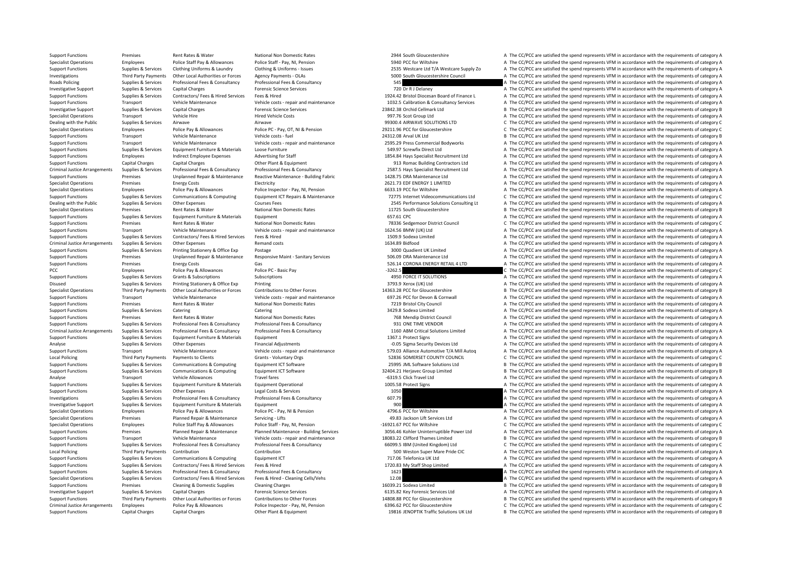Support Functions Capital Charges Capital Charges Other Plant & Equipment 19816 JENOPTIK Traffic Solutions UK Ltd B The CC/PCC are satisfied the spend represents VFM in accordance with the requirements of category B

Support Functions Premises Rent Rates & Water National Non Domestic Rates 2944 South Gloucestershire A The CC/PCC are satisfied the spend represents VFM in accordance with the requirements of category A

Specialist Operations Employees Police Staff Pay & Allowances Police Staff - Pay, NI, Pension 5940 PCC for Wiltshire A The CC/PCC are satisfied the spend represents VFM in accordance with the requirements of category A Supplies & Services Clothing Uniforms & Laundry Clothing & Uniforms - Issues 2535 Westcare Ltd T/A Westcare Supply Zo A The CC/PCC are satisfied the spend represents VFM in accordance with the requirements of category A In 1997 Third Party Payments Other Local Authorities or Forces Agency Payments - OLAS Agency Payments - OLAS Agency Payments - OLAS 5000 South Gloucestershire Council A The CC/PCC are satisfied the spend represents VFM in acc Roads Policing Supplies A The CC/PCC are satisfied the spend represents VFM in accordance with the requirements of category A Investigative Support Supplies & Services Capital Charges **Forensic Science Services** Forensic Science Services 720 Dr R J Delaney A The CC/PCC are satisfied the spend represents VFM in accordance with the requirements of Support Functions Supplies & Services Contractors/ Fees & Hired Services Fees & Hired Services Fees & Hired Services Fees & Hired Services Fees & Hired Services Pees & Hired Services Pees & Hired Services Pees & Hired Serv Support Functions Transport Vehicle Maintenance Vehicle costs repair and maintenance Vehicle costs repair and maintenance vehicle costs repair and maintenance 1032.5 Calibration & Consultancy Services A The CC/PCC are sati Investigative Support Support Support Support Capital Charges Capital Charges Forensic Science Services 23842.38 Orchid Cellmark Ltd B The CC/PCC are satisfied the spend represents VFM in accordance with the requirements o Specialist Operations Transport Vehicle Hire Hire Hire Hired Vehicle Costs Hired Vehicle Costs and A The COSts 997.76 Scot Group Ltd A The CC/PCC are satisfied the spend represents VFM in accordance with the requirements o Dealing with the Public Supplies & Services Airwave Airwave Airwave Airwave Airwave 99300.4 AIRWAVE SOLUTIONS LTD C The CC/PCC are satisfied the spend represents VFM in accordance with the requirements of category C ategor Specialist Operations Employees Police Pay & Allowances Police PC - Pay, OT, NI & Pension 20211.96 PCC for Gloucestershire C The CC/PCC are satisfied the spend represents VFM in accordance with the requirements of category Support Functions Transport Vehicle Maintenance Vehicle costs ‐ fuel 24312.08 Arval UK Ltd B The CC/PCC are satisfied the spend represents VFM in accordance with the requirements of category B Support Functions Transport Vehicle Maintenance Vehicle costs - repair and maintenance 2595.29 Press Commercial Bodyworks A The CC/PCC are satisfied the spend represents VFM in accordance with the requirements of category Support Functions Supplies & Services Equipment Furniture & Materials Loose Furniture Conserved a Support Function Support Function and the CC/PCC are satisfied the spend represents VFM in accordance with the requirements Support Functions Employees Indirect Employee Expenses Advertising for Staff 1854.84 Hays Specialist Recruitment Ltd A The CC/PCC are satisfied the spend represents VFM in accordance with the requirements of category A Support Functions Capital Charges Capital Charges Capital Charges Capital Charges Capital Charges Capital Charges Other Plant & Equipment 913 Romac Building Contractors Ltd A The CC/PCC are satisfied the spend represents V Criminal Justice Arrangements Sunnlies & Services Professional Fees & Consultancy Professional Fees & Consultancy Professional Fees & Consultancy Professional Fees & Consultancy Professional Fees & Consultancy Professional Support Functions Premises Unplanned Repair & Maintenance Reactive Maintenance - Building Fabric 1428.75 DRA Maintenance Ltd A The CC/PCC are satisfied the spend represents VFM in accordance with the requirements of catego Specialist Operations Premises Energy Costs Electricity Electricity Electricity Electricity 2621.73 EDF ENERGY 1 LIMITED A The CC/PCC are satisfied the spend represents VFM in accordance with the requirements of category A A The CC/PCC are satisfied the spend represents VFM in accordance with the requirements of category A Supplies & Services Communications & Computing Communications & Computing Foujoment ICT Renairs & Maintenance 77775 Internet Videocommunications I to CC/PCC are satisfied the spend represents VEM in accordance with the req Dealing with the Public Supplies & Services Other Expenses 2015 Courses Fees 2545 Performance Solutions Consulting Lt A The CC/PCC are satisfied the spend represents VFM in accordance with the requirements of category A Specialist Operations Premises Premises Rent Rates & Water National Non Domestic Rates National Non Domestic Rates 11725 South Gloucestershire B The CC/PCC are satisfied the spend represents VFM in accordance with the requ A The CC/PCC are satisfied the spend represents VFM in accordance with the requirements of category A Support Functions Premises Rent Rates & Water National Non Domestic Rates 78336 Sedgemoor District Council C The CC/PCC are satisfied the spend represents VFM in accordance with the requirements of category C Support Functions Transport Vehicle Maintenance Vehicle costs ‐ repair and maintenance 1624.56 BMW (UK) Ltd A The CC/PCC are satisfied the spend represents VFM in accordance with the requirements of category A Support Functions Supplies & Services Contractors/ Fees & Hired Services Fees & Hired Services Fees & Hired 1509.9 Sodexo Limited A The CC/PCC are satisfied the spend represents VFM in accordance with the requirements of c A The CC/PCC are satisfied the spend represents VFM in accordance with the requirements of category A Support Functions Supplies & Services Printing Stationery & Office Exp Postage 2012 a The Stategory A The CC/PCC are satisfied the spend represents VFM in accordance with the requirements of category A Support Functions Premises Unplanned Repair & Maintenance Responsive Maint - Sanitary Services 506.09 DRA Maintenance Ltd A The CC/PCC are satisfied the spend represents VFM in accordance with the requirements of category Support Functions Premises Energy Costs Gas Gas Support Gas Support Functions Category A The CC/PCC are satisfied the spend represents VFM in accordance with the requirements of category C<br>PCC The CC/PCC are satisfied the .<br>Pay the CC/PCC are satisfied the spend represents VFM in accordance with the requirements of category C Support Functions Supplies & Services Grants & Subscriptions Subscriptions Subscriptions Subscriptions and the content of category A The CC/PCC are satisfied the spend represents VFM in accordance with the requirements of Supplies & Services Printing Stationery & Office Exp Printing 2001 2012 2013 3793.9 Xerox (UK) Ltd A The CC/PCC are satisfied the spend represents VFM in accordance with the requirements of category A Specialist Operations Third Party Payments Other Local Authorities or Forces Contributions to Other Forces Authorities or Forces Contributions to Other Forces 14363.28 PCC for Gloucestershire B The CC/PCC are satisfied the Support Functions Transport Vehicle Maintenance Vehicle costs repair and maintenance 697.26 PCC for Devon & Cornwall A The CC/PCC are satisfied the spend represents VFM in accordance with the requirements of category A Support Functions Premises Rent Rates & Water National Non Domestic Rates 7219 Bristol City Council 2019 Bristol City Council A The CC/PCC are satisfied the spend represents VFM in accordance with the requirements of categ Support Functions Supplies & Services Catering Catering Catering Catering Catering Support Category A The CC/PCC are satisfied the spend represents VFM in accordance with the requirements of category A Support Functions Premises Premises Rent Rates & Water National Non Domestic Rates National Non Domestic Rates Rent Rates Rent Rates Rent Rates Rent Rates Rent Rational Non Domestic Rates 768 Mendip District Council A The Support Functions Supplies & Services Professional Fees & Consultancy Professional Fees & Consultancy Professional Fees & Consultancy Professional Fees & Consultancy Professional Fees & Consultancy Professional Fees & Cons Professional Fees & Consultancy Professional Fees & Consultancy Consultancy and the CONSULTANCHITED A The CCCC are satisfied the spend represents VFM in accordance with the requirements of category A<br>The CC/PCC are satisfi Support Functions Supplies & Services Faujoment Eurotive & Materials Faujoment 1367.1 Protect Signs 1367.1 Protect Signs A The CC/PCC are satisfied the spend represents VFM in accordance with the requirements of category A Analyse Supplies & Services Other Expenses Financial Adjustments Financial Adjustments **Financial Adjustments A The CC/PCC are satisfied the spend represents VFM in accordance with the requirements of category A** The CC/ Transport Vehicle Maintenance Vehicle costs - repair and maintenance SP9.03 Alliance Automotive T/A Mill Autoq<br>1999-1999-1999-1999-1000 Local Policing C/PCC are satisfied the spend represents VFM in accordance with the req Grants - Voluntary Orgs **SALL Party Party COUNTY COUNTY COUNCIL** C The CC/PCC are satisfied the spend represents VFM in accordance with the requirements of category C Support Functions Supplies & Services Communications & Computing Equipment ICT Software 25995 JML Software 25995 JML Software Solutions Ltd B The CC/PCC are satisfied the spend represents VFM in accordance with the require Support Functions Supplies & Services Communications & Computing Equipment ICT Software 32404.21 Herjavec Group Limited <sup>B</sup> The CC/PCC are satisfied the spend represents VFM in accordance with the requirements of category B Analyse Transport Vehicle Allowances Travel fares Travel test a The COLO Click Travel Ltd A The CC/PCC are satisfied the spend represents VFM in accordance with the requirements of category A The CC/PCC are satisfied the s Support Functions Supplies & Services Equipment Furniture & Materials Equipment Operational 1005.58 Protect Signs A The CC/PCC are satisfied the spend represents VFM in accordance with the requirements of category A Support Functions Supplies Services Other Expenses Legal Costs & Services 1050 A The CC/PC are satisfied the spend represents VFM in accordance with the requirements of category A Investigations Supplies & Services Professional Fees & Consultancy Professional Fees & Consultancy Professional Fees & Consultancy 607.79 A The CC/PCC are satisfied the spend represents VFM in accordance with the requireme Investigative Support Supplies & Services Equipment Furniture & Materials Equipment 900 A The CC/PCC are satisfied the spend represents VFM in accordance with the requirements of category A Specialist Operations Employees Police Pay & Allowances Police PC - Pay, NI & Pension 4796.6 PCC for Wiltshire A The CC/PCC are satisfied the spend represents VFM in accordance with the requirements of category A Specialist Operations Premises Planned Repair & Maintenance Servicing - Lifts 49.83 Jackson Lift Services Ltd A The CC/PCC are satisfied the spend represents VFM in accordance with the requirements of category A The Specia Specialist Operations Employees Police Staff Pay, Allowances Police Staff - Pay, NI, Pension – 16921.67 PCC for Wiltshire C The CC/PCC are satisfied the spend represents VFM in accordance with the requirements of category Sunnort Eunctions Strangence Services Diannal Renair & Maintenance Diannal Maintenance Ruilding Services 3056 A6 Kohler Uninterruntible Dower Utd a The CC/DCC are estistied the cond represents VEM in accordance with the re Support Functions Transport Vehicle Maintenance Vehicle costs – repair and maintenance 18083.22 Clifford Thames Limited B The CC/PCC are satisfied the spend represents VFM in accordance with the requirements of category B Support Functions Supplies & Services Professional Fees & Consultancy Professional Fees & Consultancy Professional Fees & Consultancy Consultancy 66099.5 BM (United Kingdom) Ltd C The CC/PCC are satisfied the spend represe Local Policing Third Party Payments Contribution Contribution Contribution Contribution Contribution Contribution Contribution Contribution Contribution S00 Weston Super Mare Pride CIC A The CC/PCC are satisfied the spend Support Functions Supplies & Services Communications & Computing Equipment ICT 2017.06 Telefonica UK Ltd A The CC/PCC are satisfied the spend represents VFM in accordance with the requirements of category A Support Functions Supplies & Services Contractors/ Fees & Hired Services Fees & Hired Fees & Hired 1720.83 My Staff Shop Limited A The CC/PCC are satisfied the spend represents VFM in accordance with the requirements of ca Support Functions Supplies & Services Professional Fees & Consultancy Professional Fees & Consultancy Consultancy A The CC/PCC are satisfied the spend represents VFM in accordance with the requirements of category A The Cr Specialist Operations Supplies & Services Contractors/ Fees & Hired Services Fees & Hired - Cleaning Cells/Vehs 12.08 A The CC/PCC are satisfied the spend represents VFM in accordance with the requirements of category A Support Functions Premises Cleaning & Domestic Supplies Cleaning Charges Cleaning Charges Cleaning Charges Charges Cleaning Charges Care and the spend in the CC/PCC are satisfied the spend represents VFM in accordance with Capital Charges Capital Charges Correst Support Support Supplies Capital Charges Forences Capital Charges Forensic Supported a The CC-PCC are satisfied the spend represents VFM in accordance with the requirements of catego Support Functions Third Party Payments Other Local Authorities or Forces Contributions to Other Forces Contributions to Other Forces 14808.88 PCC for Gloucestershire B. The CC/PCC are satisfied the spend represents VFM in Criminal Justice Arrangements Employees Police Pay & Allowances Police Inspector - Pay, NI, Pension Books Pay (NI, Pension 6396.62 PCC for Gloucestershire C The CC/PCC are satisfied the spend represents VFM in accordance w